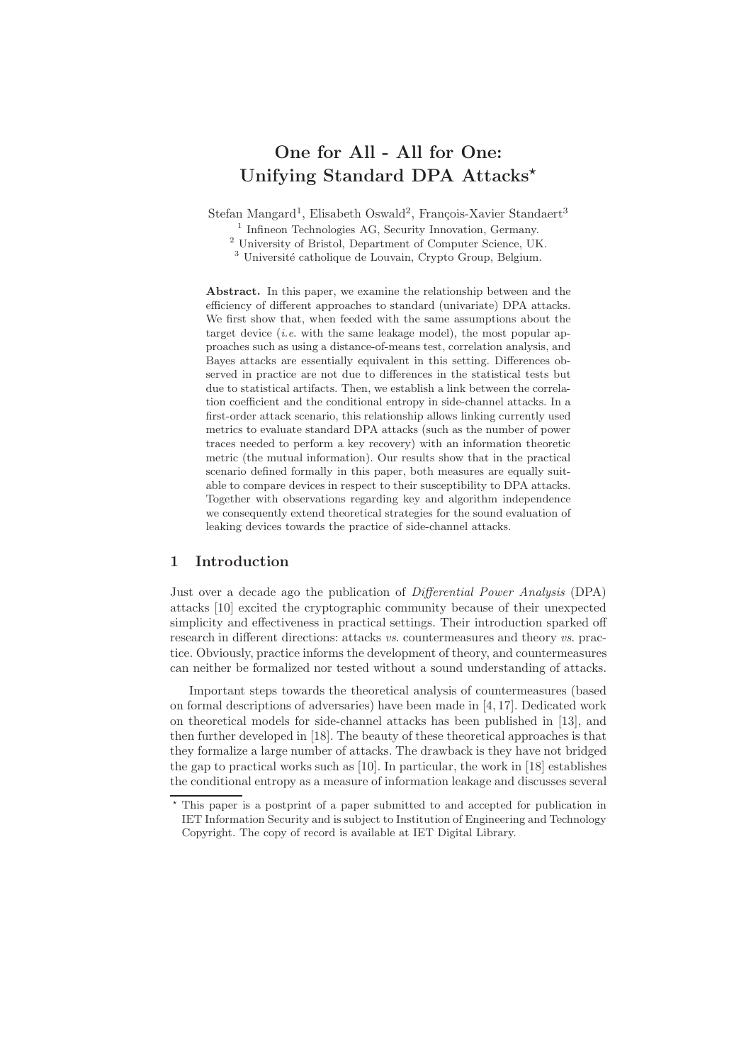# One for All - All for One: Unifying Standard DPA Attacks<sup>\*</sup>

Stefan Mangard<sup>1</sup>, Elisabeth Oswald<sup>2</sup>, François-Xavier Standaert<sup>3</sup>

<sup>1</sup> Infineon Technologies AG, Security Innovation, Germany.

<sup>2</sup> University of Bristol, Department of Computer Science, UK.

<sup>3</sup> Université catholique de Louvain, Crypto Group, Belgium.

Abstract. In this paper, we examine the relationship between and the efficiency of different approaches to standard (univariate) DPA attacks. We first show that, when feeded with the same assumptions about the target device (*i.e.* with the same leakage model), the most popular approaches such as using a distance-of-means test, correlation analysis, and Bayes attacks are essentially equivalent in this setting. Differences observed in practice are not due to differences in the statistical tests but due to statistical artifacts. Then, we establish a link between the correlation coefficient and the conditional entropy in side-channel attacks. In a first-order attack scenario, this relationship allows linking currently used metrics to evaluate standard DPA attacks (such as the number of power traces needed to perform a key recovery) with an information theoretic metric (the mutual information). Our results show that in the practical scenario defined formally in this paper, both measures are equally suitable to compare devices in respect to their susceptibility to DPA attacks. Together with observations regarding key and algorithm independence we consequently extend theoretical strategies for the sound evaluation of leaking devices towards the practice of side-channel attacks.

# 1 Introduction

Just over a decade ago the publication of Differential Power Analysis (DPA) attacks [10] excited the cryptographic community because of their unexpected simplicity and effectiveness in practical settings. Their introduction sparked off research in different directions: attacks vs. countermeasures and theory vs. practice. Obviously, practice informs the development of theory, and countermeasures can neither be formalized nor tested without a sound understanding of attacks.

Important steps towards the theoretical analysis of countermeasures (based on formal descriptions of adversaries) have been made in [4, 17]. Dedicated work on theoretical models for side-channel attacks has been published in [13], and then further developed in [18]. The beauty of these theoretical approaches is that they formalize a large number of attacks. The drawback is they have not bridged the gap to practical works such as [10]. In particular, the work in [18] establishes the conditional entropy as a measure of information leakage and discusses several

<sup>⋆</sup> This paper is a postprint of a paper submitted to and accepted for publication in IET Information Security and is subject to Institution of Engineering and Technology Copyright. The copy of record is available at IET Digital Library.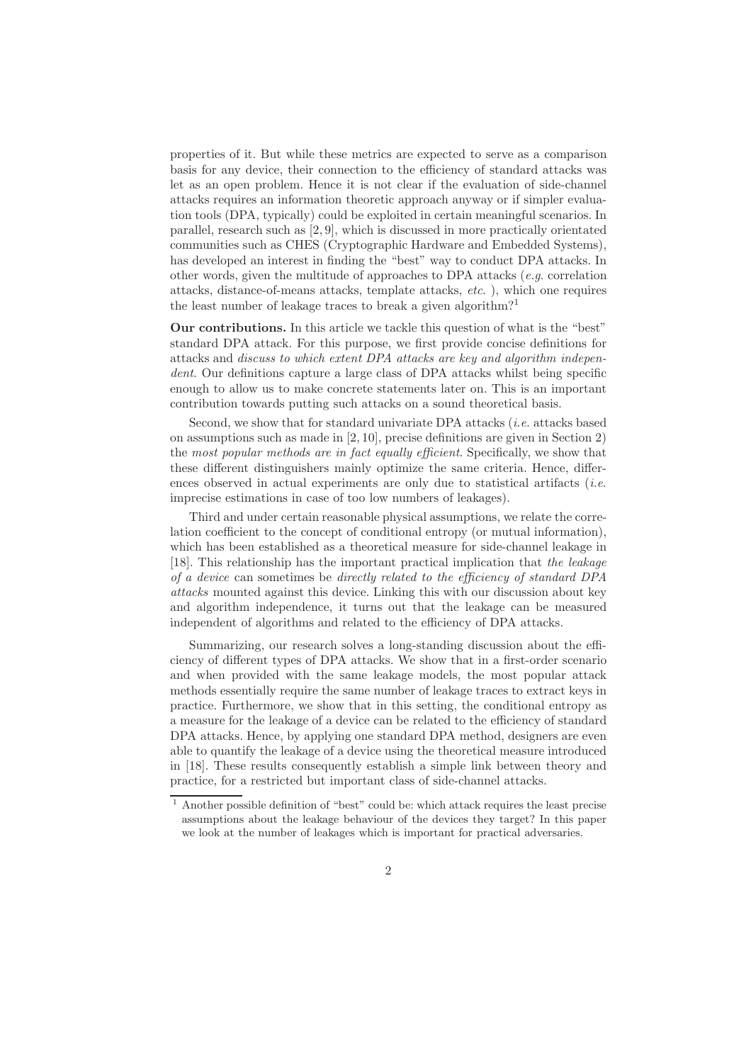properties of it. But while these metrics are expected to serve as a comparison basis for any device, their connection to the efficiency of standard attacks was let as an open problem. Hence it is not clear if the evaluation of side-channel attacks requires an information theoretic approach anyway or if simpler evaluation tools (DPA, typically) could be exploited in certain meaningful scenarios. In parallel, research such as [2, 9], which is discussed in more practically orientated communities such as CHES (Cryptographic Hardware and Embedded Systems), has developed an interest in finding the "best" way to conduct DPA attacks. In other words, given the multitude of approaches to DPA attacks  $(e.g.$  correlation attacks, distance-of-means attacks, template attacks, etc. ), which one requires the least number of leakage traces to break a given algorithm?<sup>1</sup>

Our contributions. In this article we tackle this question of what is the "best" standard DPA attack. For this purpose, we first provide concise definitions for attacks and discuss to which extent DPA attacks are key and algorithm independent. Our definitions capture a large class of DPA attacks whilst being specific enough to allow us to make concrete statements later on. This is an important contribution towards putting such attacks on a sound theoretical basis.

Second, we show that for standard univariate DPA attacks  $(i.e.$  attacks based on assumptions such as made in [2, 10], precise definitions are given in Section 2) the most popular methods are in fact equally efficient. Specifically, we show that these different distinguishers mainly optimize the same criteria. Hence, differences observed in actual experiments are only due to statistical artifacts (*i.e.* imprecise estimations in case of too low numbers of leakages).

Third and under certain reasonable physical assumptions, we relate the correlation coefficient to the concept of conditional entropy (or mutual information), which has been established as a theoretical measure for side-channel leakage in [18]. This relationship has the important practical implication that the leakage of a device can sometimes be directly related to the efficiency of standard DPA attacks mounted against this device. Linking this with our discussion about key and algorithm independence, it turns out that the leakage can be measured independent of algorithms and related to the efficiency of DPA attacks.

Summarizing, our research solves a long-standing discussion about the efficiency of different types of DPA attacks. We show that in a first-order scenario and when provided with the same leakage models, the most popular attack methods essentially require the same number of leakage traces to extract keys in practice. Furthermore, we show that in this setting, the conditional entropy as a measure for the leakage of a device can be related to the efficiency of standard DPA attacks. Hence, by applying one standard DPA method, designers are even able to quantify the leakage of a device using the theoretical measure introduced in [18]. These results consequently establish a simple link between theory and practice, for a restricted but important class of side-channel attacks.

<sup>1</sup> Another possible definition of "best" could be: which attack requires the least precise assumptions about the leakage behaviour of the devices they target? In this paper we look at the number of leakages which is important for practical adversaries.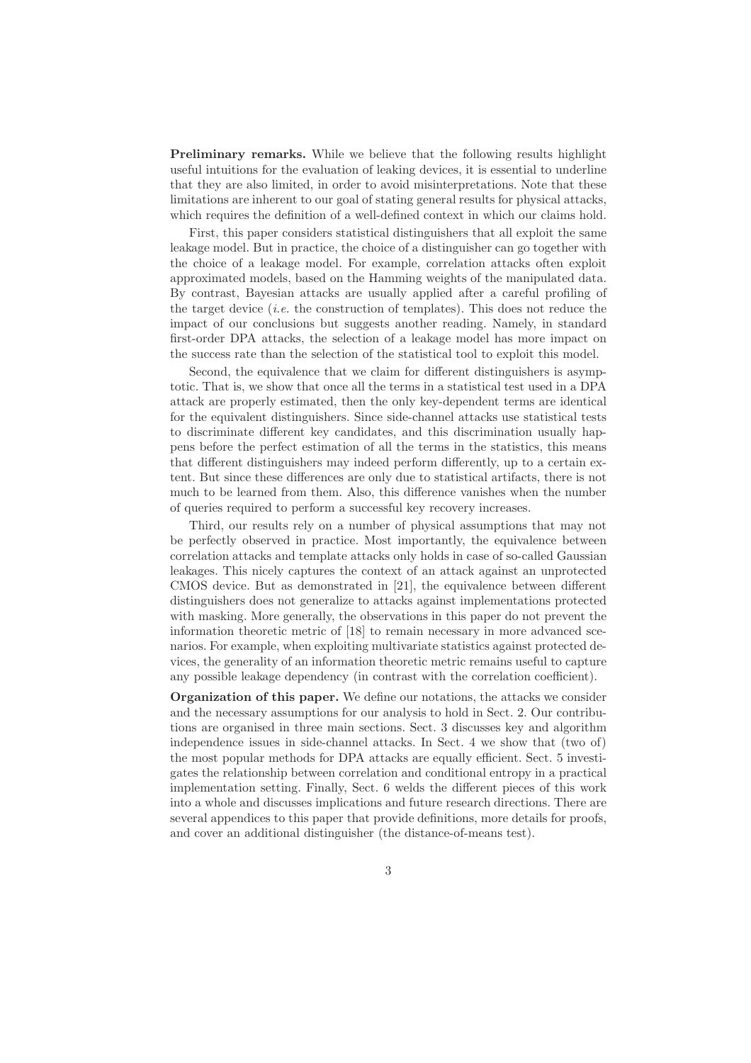Preliminary remarks. While we believe that the following results highlight useful intuitions for the evaluation of leaking devices, it is essential to underline that they are also limited, in order to avoid misinterpretations. Note that these limitations are inherent to our goal of stating general results for physical attacks, which requires the definition of a well-defined context in which our claims hold.

First, this paper considers statistical distinguishers that all exploit the same leakage model. But in practice, the choice of a distinguisher can go together with the choice of a leakage model. For example, correlation attacks often exploit approximated models, based on the Hamming weights of the manipulated data. By contrast, Bayesian attacks are usually applied after a careful profiling of the target device (*i.e.* the construction of templates). This does not reduce the impact of our conclusions but suggests another reading. Namely, in standard first-order DPA attacks, the selection of a leakage model has more impact on the success rate than the selection of the statistical tool to exploit this model.

Second, the equivalence that we claim for different distinguishers is asymptotic. That is, we show that once all the terms in a statistical test used in a DPA attack are properly estimated, then the only key-dependent terms are identical for the equivalent distinguishers. Since side-channel attacks use statistical tests to discriminate different key candidates, and this discrimination usually happens before the perfect estimation of all the terms in the statistics, this means that different distinguishers may indeed perform differently, up to a certain extent. But since these differences are only due to statistical artifacts, there is not much to be learned from them. Also, this difference vanishes when the number of queries required to perform a successful key recovery increases.

Third, our results rely on a number of physical assumptions that may not be perfectly observed in practice. Most importantly, the equivalence between correlation attacks and template attacks only holds in case of so-called Gaussian leakages. This nicely captures the context of an attack against an unprotected CMOS device. But as demonstrated in [21], the equivalence between different distinguishers does not generalize to attacks against implementations protected with masking. More generally, the observations in this paper do not prevent the information theoretic metric of [18] to remain necessary in more advanced scenarios. For example, when exploiting multivariate statistics against protected devices, the generality of an information theoretic metric remains useful to capture any possible leakage dependency (in contrast with the correlation coefficient).

Organization of this paper. We define our notations, the attacks we consider and the necessary assumptions for our analysis to hold in Sect. 2. Our contributions are organised in three main sections. Sect. 3 discusses key and algorithm independence issues in side-channel attacks. In Sect. 4 we show that (two of) the most popular methods for DPA attacks are equally efficient. Sect. 5 investigates the relationship between correlation and conditional entropy in a practical implementation setting. Finally, Sect. 6 welds the different pieces of this work into a whole and discusses implications and future research directions. There are several appendices to this paper that provide definitions, more details for proofs, and cover an additional distinguisher (the distance-of-means test).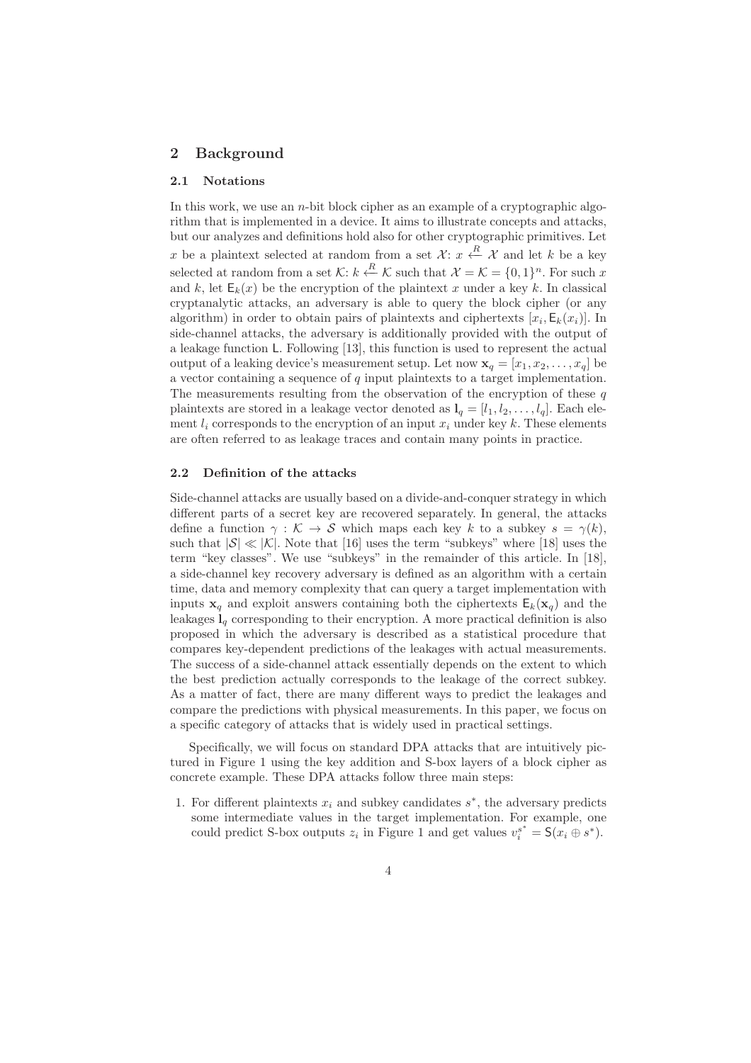# 2 Background

#### 2.1 Notations

In this work, we use an  $n$ -bit block cipher as an example of a cryptographic algorithm that is implemented in a device. It aims to illustrate concepts and attacks, but our analyzes and definitions hold also for other cryptographic primitives. Let x be a plaintext selected at random from a set  $\mathcal{X}$ :  $x \leftarrow R \mathcal{X}$  and let k be a key selected at random from a set K:  $k \stackrel{R}{\leftarrow} K$  such that  $\mathcal{X} = \mathcal{K} = \{0, 1\}^n$ . For such x and k, let  $E_k(x)$  be the encryption of the plaintext x under a key k. In classical cryptanalytic attacks, an adversary is able to query the block cipher (or any algorithm) in order to obtain pairs of plaintexts and ciphertexts  $[x_i, \mathsf{E}_k(x_i)]$ . In side-channel attacks, the adversary is additionally provided with the output of a leakage function L. Following [13], this function is used to represent the actual output of a leaking device's measurement setup. Let now  $\mathbf{x}_q = [x_1, x_2, \dots, x_q]$  be a vector containing a sequence of  $q$  input plaintexts to a target implementation. The measurements resulting from the observation of the encryption of these  $q$ plaintexts are stored in a leakage vector denoted as  $l_q = [l_1, l_2, \ldots, l_q]$ . Each element  $l_i$  corresponds to the encryption of an input  $x_i$  under key k. These elements are often referred to as leakage traces and contain many points in practice.

## 2.2 Definition of the attacks

Side-channel attacks are usually based on a divide-and-conquer strategy in which different parts of a secret key are recovered separately. In general, the attacks define a function  $\gamma : \mathcal{K} \to \mathcal{S}$  which maps each key k to a subkey  $s = \gamma(k)$ , such that  $|\mathcal{S}| \ll |\mathcal{K}|$ . Note that [16] uses the term "subkeys" where [18] uses the term "key classes". We use "subkeys" in the remainder of this article. In [18], a side-channel key recovery adversary is defined as an algorithm with a certain time, data and memory complexity that can query a target implementation with inputs  $x_q$  and exploit answers containing both the ciphertexts  $E_k(x_q)$  and the leakages  $I_q$  corresponding to their encryption. A more practical definition is also proposed in which the adversary is described as a statistical procedure that compares key-dependent predictions of the leakages with actual measurements. The success of a side-channel attack essentially depends on the extent to which the best prediction actually corresponds to the leakage of the correct subkey. As a matter of fact, there are many different ways to predict the leakages and compare the predictions with physical measurements. In this paper, we focus on a specific category of attacks that is widely used in practical settings.

Specifically, we will focus on standard DPA attacks that are intuitively pictured in Figure 1 using the key addition and S-box layers of a block cipher as concrete example. These DPA attacks follow three main steps:

1. For different plaintexts  $x_i$  and subkey candidates  $s^*$ , the adversary predicts some intermediate values in the target implementation. For example, one could predict S-box outputs  $z_i$  in Figure 1 and get values  $v_i^{s^*} = \mathsf{S}(x_i \oplus s^*)$ .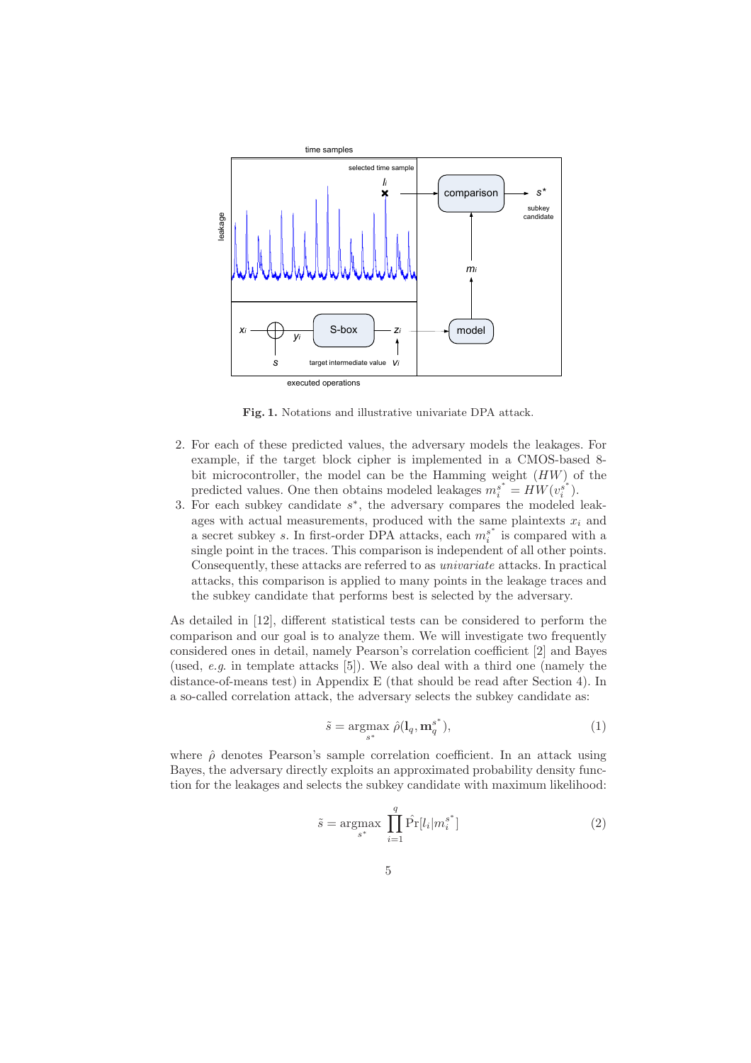

Fig. 1. Notations and illustrative univariate DPA attack.

- 2. For each of these predicted values, the adversary models the leakages. For example, if the target block cipher is implemented in a CMOS-based 8 bit microcontroller, the model can be the Hamming weight (HW) of the predicted values. One then obtains modeled leakages  $m_i^{s^*} = HW(v_i^{s^*})$  $\binom{s^*}{i}$ .
- 3. For each subkey candidate  $s^*$ , the adversary compares the modeled leakages with actual measurements, produced with the same plaintexts  $x_i$  and a secret subkey s. In first-order DPA attacks, each  $m_i^{s^*}$  $i<sup>s</sup>$  is compared with a single point in the traces. This comparison is independent of all other points. Consequently, these attacks are referred to as univariate attacks. In practical attacks, this comparison is applied to many points in the leakage traces and the subkey candidate that performs best is selected by the adversary.

As detailed in [12], different statistical tests can be considered to perform the comparison and our goal is to analyze them. We will investigate two frequently considered ones in detail, namely Pearson's correlation coefficient [2] and Bayes (used, e.g. in template attacks [5]). We also deal with a third one (namely the distance-of-means test) in Appendix E (that should be read after Section 4). In a so-called correlation attack, the adversary selects the subkey candidate as:

$$
\tilde{s} = \underset{s^*}{\operatorname{argmax}} \ \hat{\rho}(\mathbf{l}_q, \mathbf{m}_q^{s^*}), \tag{1}
$$

where  $\hat{\rho}$  denotes Pearson's sample correlation coefficient. In an attack using Bayes, the adversary directly exploits an approximated probability density function for the leakages and selects the subkey candidate with maximum likelihood:

$$
\tilde{s} = \underset{s^*}{\text{argmax}} \prod_{i=1}^q \hat{\Pr}[l_i | m_i^{s^*}] \tag{2}
$$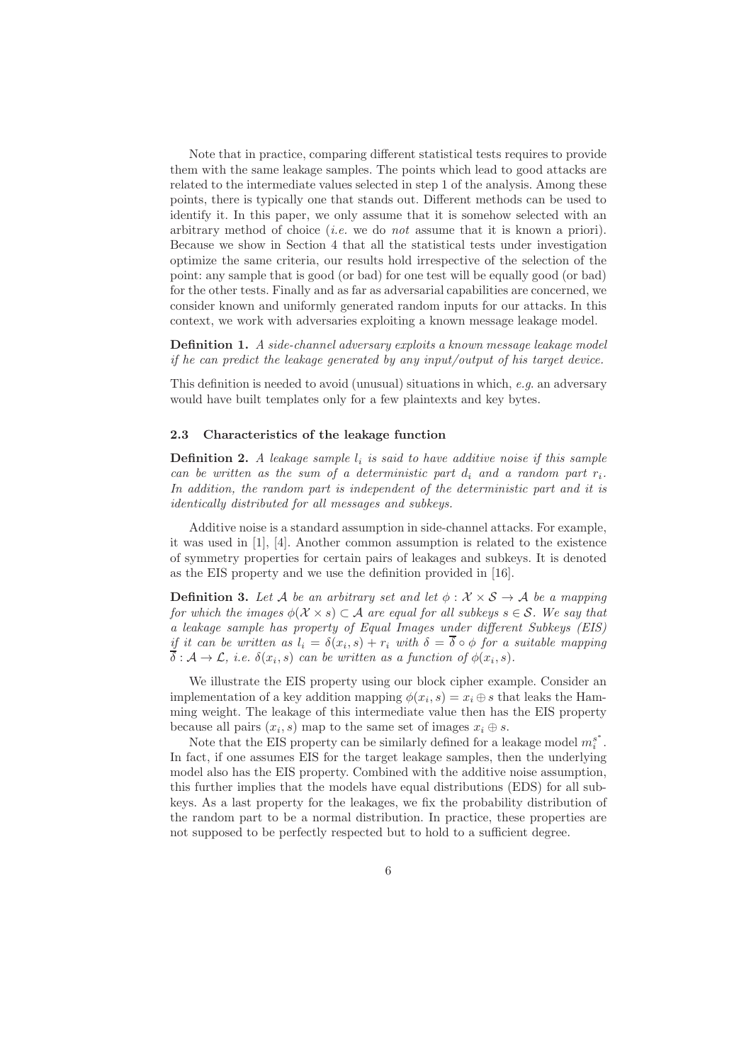Note that in practice, comparing different statistical tests requires to provide them with the same leakage samples. The points which lead to good attacks are related to the intermediate values selected in step 1 of the analysis. Among these points, there is typically one that stands out. Different methods can be used to identify it. In this paper, we only assume that it is somehow selected with an arbitrary method of choice (*i.e.* we do *not* assume that it is known a priori). Because we show in Section 4 that all the statistical tests under investigation optimize the same criteria, our results hold irrespective of the selection of the point: any sample that is good (or bad) for one test will be equally good (or bad) for the other tests. Finally and as far as adversarial capabilities are concerned, we consider known and uniformly generated random inputs for our attacks. In this context, we work with adversaries exploiting a known message leakage model.

Definition 1. A side-channel adversary exploits a known message leakage model if he can predict the leakage generated by any input/output of his target device.

This definition is needed to avoid (unusual) situations in which, e.g. an adversary would have built templates only for a few plaintexts and key bytes.

#### 2.3 Characteristics of the leakage function

**Definition 2.** A leakage sample  $l_i$  is said to have additive noise if this sample can be written as the sum of a deterministic part  $d_i$  and a random part  $r_i$ . In addition, the random part is independent of the deterministic part and it is identically distributed for all messages and subkeys.

Additive noise is a standard assumption in side-channel attacks. For example, it was used in [1], [4]. Another common assumption is related to the existence of symmetry properties for certain pairs of leakages and subkeys. It is denoted as the EIS property and we use the definition provided in [16].

**Definition 3.** Let A be an arbitrary set and let  $\phi : \mathcal{X} \times \mathcal{S} \rightarrow \mathcal{A}$  be a mapping for which the images  $\phi(\mathcal{X} \times s) \subset \mathcal{A}$  are equal for all subkeys  $s \in \mathcal{S}$ . We say that a leakage sample has property of Equal Images under different Subkeys (EIS) if it can be written as  $l_i = \delta(x_i, s) + r_i$  with  $\delta = \delta \circ \phi$  for a suitable mapping  $\delta: \mathcal{A} \to \mathcal{L}, i.e. \delta(x_i, s)$  can be written as a function of  $\phi(x_i, s)$ .

We illustrate the EIS property using our block cipher example. Consider an implementation of a key addition mapping  $\phi(x_i, s) = x_i \oplus s$  that leaks the Hamming weight. The leakage of this intermediate value then has the EIS property because all pairs  $(x_i, s)$  map to the same set of images  $x_i \oplus s$ .

Note that the EIS property can be similarly defined for a leakage model  $m_i^{s^*}$  $\frac{s}{i}$ . In fact, if one assumes EIS for the target leakage samples, then the underlying model also has the EIS property. Combined with the additive noise assumption, this further implies that the models have equal distributions (EDS) for all subkeys. As a last property for the leakages, we fix the probability distribution of the random part to be a normal distribution. In practice, these properties are not supposed to be perfectly respected but to hold to a sufficient degree.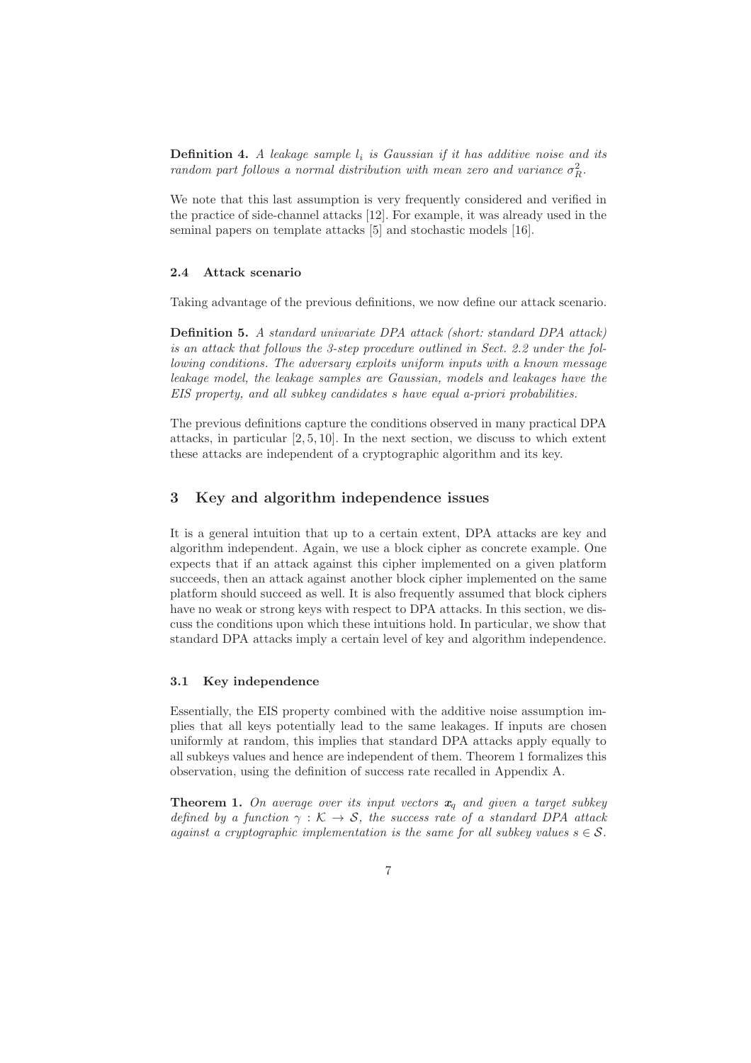**Definition 4.** A leakage sample  $l_i$  is Gaussian if it has additive noise and its random part follows a normal distribution with mean zero and variance  $\sigma_R^2$ .

We note that this last assumption is very frequently considered and verified in the practice of side-channel attacks [12]. For example, it was already used in the seminal papers on template attacks [5] and stochastic models [16].

## 2.4 Attack scenario

Taking advantage of the previous definitions, we now define our attack scenario.

Definition 5. A standard univariate DPA attack (short: standard DPA attack) is an attack that follows the 3-step procedure outlined in Sect. 2.2 under the following conditions. The adversary exploits uniform inputs with a known message leakage model, the leakage samples are Gaussian, models and leakages have the EIS property, and all subkey candidates s have equal a-priori probabilities.

The previous definitions capture the conditions observed in many practical DPA attacks, in particular  $[2, 5, 10]$ . In the next section, we discuss to which extent these attacks are independent of a cryptographic algorithm and its key.

## 3 Key and algorithm independence issues

It is a general intuition that up to a certain extent, DPA attacks are key and algorithm independent. Again, we use a block cipher as concrete example. One expects that if an attack against this cipher implemented on a given platform succeeds, then an attack against another block cipher implemented on the same platform should succeed as well. It is also frequently assumed that block ciphers have no weak or strong keys with respect to DPA attacks. In this section, we discuss the conditions upon which these intuitions hold. In particular, we show that standard DPA attacks imply a certain level of key and algorithm independence.

### 3.1 Key independence

Essentially, the EIS property combined with the additive noise assumption implies that all keys potentially lead to the same leakages. If inputs are chosen uniformly at random, this implies that standard DPA attacks apply equally to all subkeys values and hence are independent of them. Theorem 1 formalizes this observation, using the definition of success rate recalled in Appendix A.

**Theorem 1.** On average over its input vectors  $x_q$  and given a target subkey defined by a function  $\gamma : \mathcal{K} \to \mathcal{S}$ , the success rate of a standard DPA attack against a cryptographic implementation is the same for all subkey values  $s \in \mathcal{S}$ .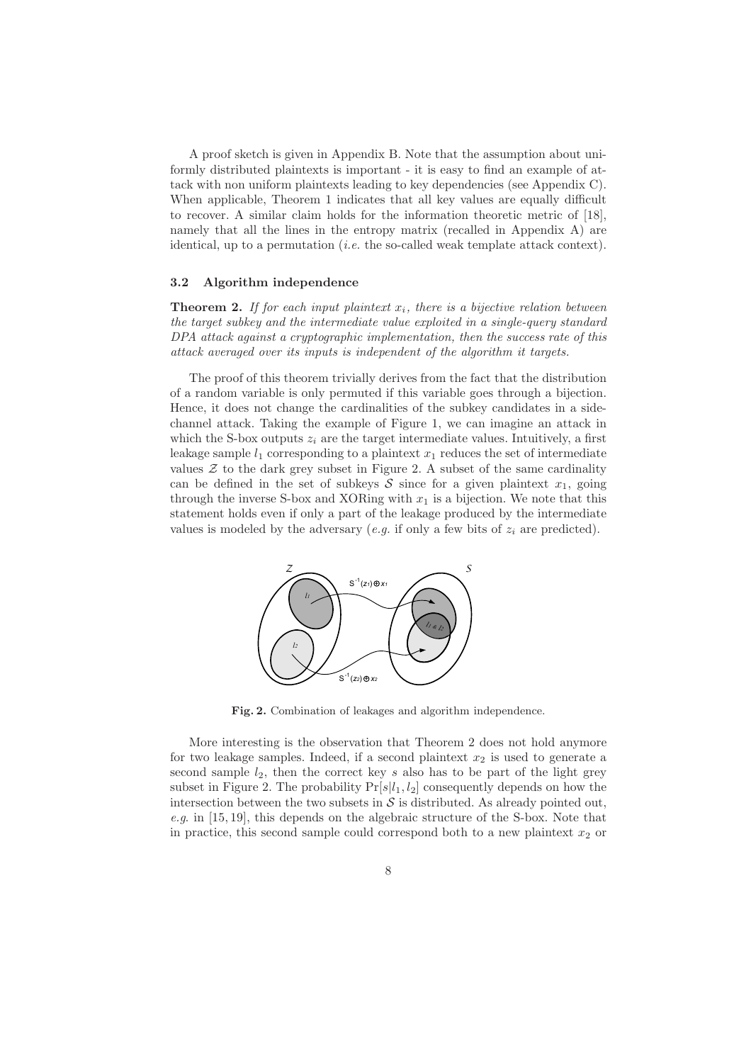A proof sketch is given in Appendix B. Note that the assumption about uniformly distributed plaintexts is important - it is easy to find an example of attack with non uniform plaintexts leading to key dependencies (see Appendix C). When applicable, Theorem 1 indicates that all key values are equally difficult to recover. A similar claim holds for the information theoretic metric of [18], namely that all the lines in the entropy matrix (recalled in Appendix A) are identical, up to a permutation (*i.e.* the so-called weak template attack context).

#### 3.2 Algorithm independence

**Theorem 2.** If for each input plaintext  $x_i$ , there is a bijective relation between the target subkey and the intermediate value exploited in a single-query standard DPA attack against a cryptographic implementation, then the success rate of this attack averaged over its inputs is independent of the algorithm it targets.

The proof of this theorem trivially derives from the fact that the distribution of a random variable is only permuted if this variable goes through a bijection. Hence, it does not change the cardinalities of the subkey candidates in a sidechannel attack. Taking the example of Figure 1, we can imagine an attack in which the S-box outputs  $z_i$  are the target intermediate values. Intuitively, a first leakage sample  $l_1$  corresponding to a plaintext  $x_1$  reduces the set of intermediate values  $\mathcal Z$  to the dark grey subset in Figure 2. A subset of the same cardinality can be defined in the set of subkeys  $S$  since for a given plaintext  $x_1$ , going through the inverse S-box and XORing with  $x_1$  is a bijection. We note that this statement holds even if only a part of the leakage produced by the intermediate values is modeled by the adversary  $(e.g.$  if only a few bits of  $z_i$  are predicted).



Fig. 2. Combination of leakages and algorithm independence.

More interesting is the observation that Theorem 2 does not hold anymore for two leakage samples. Indeed, if a second plaintext  $x_2$  is used to generate a second sample  $l_2$ , then the correct key s also has to be part of the light grey subset in Figure 2. The probability  $Pr[s|l_1, l_2]$  consequently depends on how the intersection between the two subsets in  $S$  is distributed. As already pointed out, e.g. in [15, 19], this depends on the algebraic structure of the S-box. Note that in practice, this second sample could correspond both to a new plaintext  $x_2$  or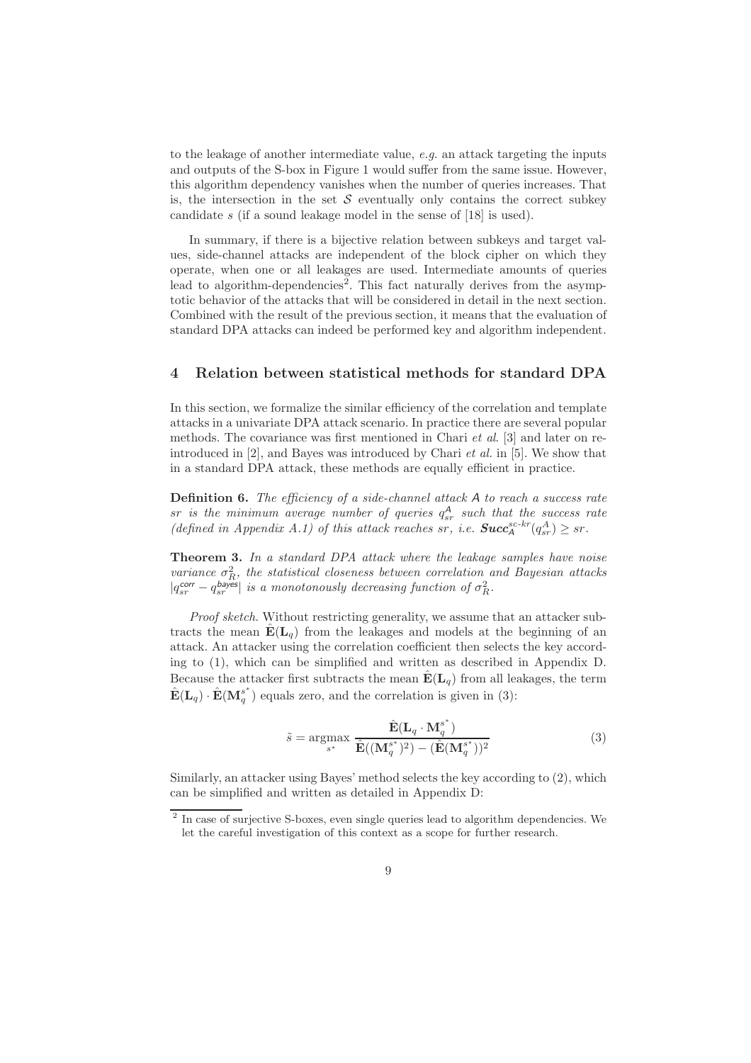to the leakage of another intermediate value,  $e.g.$  an attack targeting the inputs and outputs of the S-box in Figure 1 would suffer from the same issue. However, this algorithm dependency vanishes when the number of queries increases. That is, the intersection in the set  $S$  eventually only contains the correct subkey candidate s (if a sound leakage model in the sense of [18] is used).

In summary, if there is a bijective relation between subkeys and target values, side-channel attacks are independent of the block cipher on which they operate, when one or all leakages are used. Intermediate amounts of queries lead to algorithm-dependencies<sup>2</sup>. This fact naturally derives from the asymptotic behavior of the attacks that will be considered in detail in the next section. Combined with the result of the previous section, it means that the evaluation of standard DPA attacks can indeed be performed key and algorithm independent.

# 4 Relation between statistical methods for standard DPA

In this section, we formalize the similar efficiency of the correlation and template attacks in a univariate DPA attack scenario. In practice there are several popular methods. The covariance was first mentioned in Chari *et al.* [3] and later on reintroduced in [2], and Bayes was introduced by Chari et al. in [5]. We show that in a standard DPA attack, these methods are equally efficient in practice.

**Definition 6.** The efficiency of a side-channel attack  $A$  to reach a success rate  $sr$  is the minimum average number of queries  $q_{sr}^A$  such that the success rate (defined in Appendix A.1) of this attack reaches sr, i.e.  $Succ_A^{sc-kr}(q_{sr}^A) \geq sr$ .

Theorem 3. In a standard DPA attack where the leakage samples have noise variance  $\sigma_R^2$ , the statistical closeness between correlation and Bayesian attacks  $|q_{sr}^{\text{corr}} - q_{sr}^{\text{bayes}}|$  is a monotonously decreasing function of  $\sigma_R^2$ .

Proof sketch. Without restricting generality, we assume that an attacker subtracts the mean  $\mathbf{E}(\mathbf{L}_q)$  from the leakages and models at the beginning of an attack. An attacker using the correlation coefficient then selects the key according to (1), which can be simplified and written as described in Appendix D. Because the attacker first subtracts the mean  $\mathbf{E}(\mathbf{L}_q)$  from all leakages, the term  $\hat{\textbf{E}}(\textbf{L}_q) \cdot \hat{\textbf{E}}(\textbf{M}_q^{s^*})$  $\binom{s}{q}$  equals zero, and the correlation is given in (3):

$$
\tilde{s} = \underset{s^*}{\operatorname{argmax}} \ \frac{\hat{\mathbf{E}}(\mathbf{L}_q \cdot \mathbf{M}_q^{s^*})}{\hat{\mathbf{E}}((\mathbf{M}_q^{s^*})^2) - (\hat{\mathbf{E}}(\mathbf{M}_q^{s^*}))^2}
$$
(3)

Similarly, an attacker using Bayes' method selects the key according to (2), which can be simplified and written as detailed in Appendix D:

<sup>&</sup>lt;sup>2</sup> In case of surjective S-boxes, even single queries lead to algorithm dependencies. We let the careful investigation of this context as a scope for further research.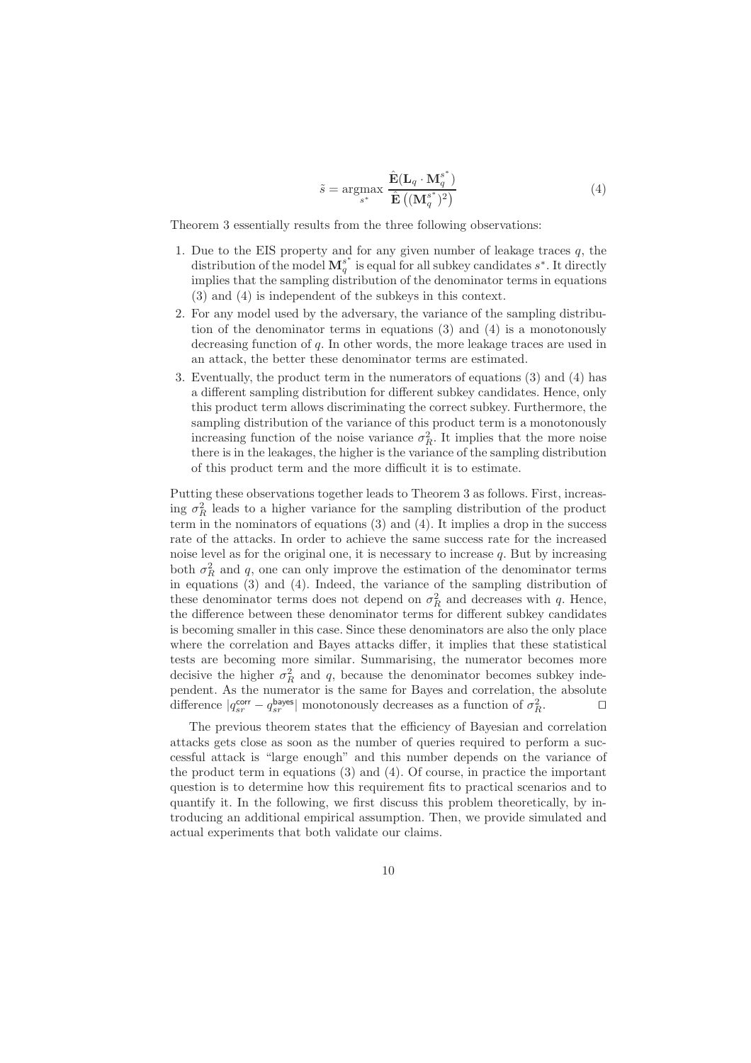$$
\tilde{s} = \underset{s^*}{\operatorname{argmax}} \frac{\hat{\mathbf{E}}(\mathbf{L}_q \cdot \mathbf{M}_q^{s^*})}{\hat{\mathbf{E}}\left((\mathbf{M}_q^{s^*})^2\right)} \tag{4}
$$

Theorem 3 essentially results from the three following observations:

- 1. Due to the EIS property and for any given number of leakage traces  $q$ , the distribution of the model  $\mathbf{M}_q^{s^*}$  is equal for all subkey candidates  $s^*$ . It directly implies that the sampling distribution of the denominator terms in equations (3) and (4) is independent of the subkeys in this context.
- 2. For any model used by the adversary, the variance of the sampling distribution of the denominator terms in equations (3) and (4) is a monotonously decreasing function of q. In other words, the more leakage traces are used in an attack, the better these denominator terms are estimated.
- 3. Eventually, the product term in the numerators of equations (3) and (4) has a different sampling distribution for different subkey candidates. Hence, only this product term allows discriminating the correct subkey. Furthermore, the sampling distribution of the variance of this product term is a monotonously increasing function of the noise variance  $\sigma_R^2$ . It implies that the more noise there is in the leakages, the higher is the variance of the sampling distribution of this product term and the more difficult it is to estimate.

Putting these observations together leads to Theorem 3 as follows. First, increasing  $\sigma_R^2$  leads to a higher variance for the sampling distribution of the product term in the nominators of equations (3) and (4). It implies a drop in the success rate of the attacks. In order to achieve the same success rate for the increased noise level as for the original one, it is necessary to increase  $q$ . But by increasing both  $\sigma_R^2$  and q, one can only improve the estimation of the denominator terms in equations (3) and (4). Indeed, the variance of the sampling distribution of these denominator terms does not depend on  $\sigma_R^2$  and decreases with q. Hence, the difference between these denominator terms for different subkey candidates is becoming smaller in this case. Since these denominators are also the only place where the correlation and Bayes attacks differ, it implies that these statistical tests are becoming more similar. Summarising, the numerator becomes more decisive the higher  $\sigma_R^2$  and q, because the denominator becomes subkey independent. As the numerator is the same for Bayes and correlation, the absolute difference  $|q_{sr}^{\text{corr}} - q_{sr}^{\text{bayes}}|$  monotonously decreases as a function of  $\sigma_R^2$ .

The previous theorem states that the efficiency of Bayesian and correlation attacks gets close as soon as the number of queries required to perform a successful attack is "large enough" and this number depends on the variance of the product term in equations  $(3)$  and  $(4)$ . Of course, in practice the important question is to determine how this requirement fits to practical scenarios and to quantify it. In the following, we first discuss this problem theoretically, by introducing an additional empirical assumption. Then, we provide simulated and actual experiments that both validate our claims.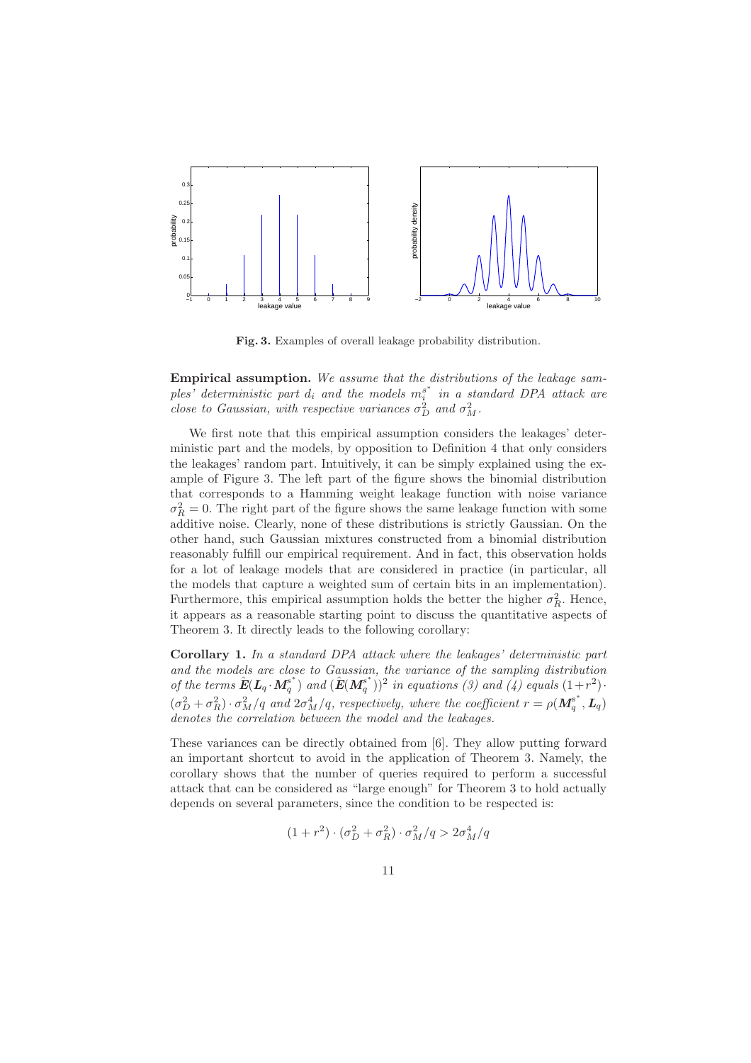

Fig. 3. Examples of overall leakage probability distribution.

Empirical assumption. We assume that the distributions of the leakage samples' deterministic part  $d_i$  and the models  $m_i^{s^*}$  $\int_i^s$  in a standard DPA attack are close to Gaussian, with respective variances  $\sigma_D^2$  and  $\sigma_M^2$ .

We first note that this empirical assumption considers the leakages' deterministic part and the models, by opposition to Definition 4 that only considers the leakages' random part. Intuitively, it can be simply explained using the example of Figure 3. The left part of the figure shows the binomial distribution that corresponds to a Hamming weight leakage function with noise variance  $\sigma_R^2 = 0$ . The right part of the figure shows the same leakage function with some additive noise. Clearly, none of these distributions is strictly Gaussian. On the other hand, such Gaussian mixtures constructed from a binomial distribution reasonably fulfill our empirical requirement. And in fact, this observation holds for a lot of leakage models that are considered in practice (in particular, all the models that capture a weighted sum of certain bits in an implementation). Furthermore, this empirical assumption holds the better the higher  $\sigma_R^2$ . Hence, it appears as a reasonable starting point to discuss the quantitative aspects of Theorem 3. It directly leads to the following corollary:

Corollary 1. In a standard DPA attack where the leakages' deterministic part and the models are close to Gaussian, the variance of the sampling distribution of the terms  $\hat{\textbf{E}}(\textbf{L}_q \cdot \textbf{M}_q^{s^*})$  $(\hat{\mathbf{E}}(\mathbf{M}_q^{\mathbf{s}^*})$  and  $(\hat{\mathbf{E}}(\mathbf{M}_q^{\mathbf{s}^*}))$  $\binom{s^*}{q}$ <sup>2</sup> in equations (3) and (4) equals  $(1+r^2)$ .  $(\sigma_D^2 + \sigma_R^2) \cdot \sigma_M^2/q$  and  $2\sigma_M^4/q$ , respectively, where the coefficient  $r = \rho(M_q^{\sigma^*})$  $q^{s^*}, \boldsymbol{L}_q)$ denotes the correlation between the model and the leakages.

These variances can be directly obtained from [6]. They allow putting forward an important shortcut to avoid in the application of Theorem 3. Namely, the corollary shows that the number of queries required to perform a successful attack that can be considered as "large enough" for Theorem 3 to hold actually depends on several parameters, since the condition to be respected is:

$$
(1+r^2)\cdot (\sigma_D^2+\sigma_R^2)\cdot \sigma_M^2/q > 2\sigma_M^4/q
$$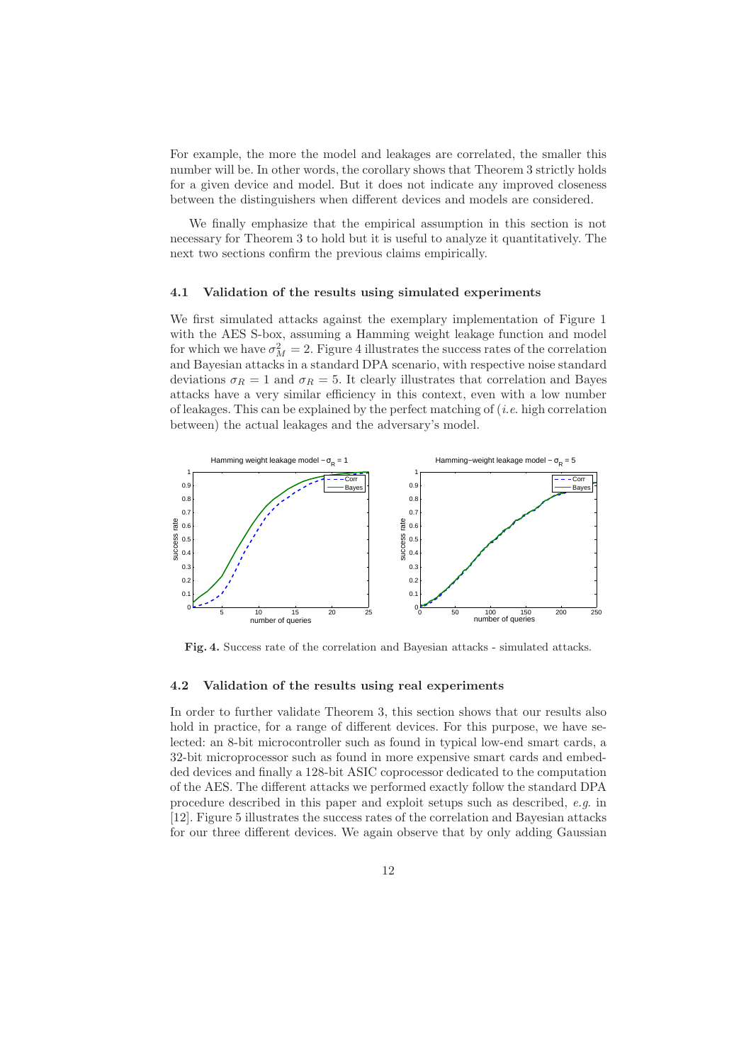For example, the more the model and leakages are correlated, the smaller this number will be. In other words, the corollary shows that Theorem 3 strictly holds for a given device and model. But it does not indicate any improved closeness between the distinguishers when different devices and models are considered.

We finally emphasize that the empirical assumption in this section is not necessary for Theorem 3 to hold but it is useful to analyze it quantitatively. The next two sections confirm the previous claims empirically.

#### 4.1 Validation of the results using simulated experiments

We first simulated attacks against the exemplary implementation of Figure 1 with the AES S-box, assuming a Hamming weight leakage function and model for which we have  $\sigma_M^2 = 2$ . Figure 4 illustrates the success rates of the correlation and Bayesian attacks in a standard DPA scenario, with respective noise standard deviations  $\sigma_R = 1$  and  $\sigma_R = 5$ . It clearly illustrates that correlation and Bayes attacks have a very similar efficiency in this context, even with a low number of leakages. This can be explained by the perfect matching of  $(i.e.$  high correlation between) the actual leakages and the adversary's model.



Fig. 4. Success rate of the correlation and Bayesian attacks - simulated attacks.

#### 4.2 Validation of the results using real experiments

In order to further validate Theorem 3, this section shows that our results also hold in practice, for a range of different devices. For this purpose, we have selected: an 8-bit microcontroller such as found in typical low-end smart cards, a 32-bit microprocessor such as found in more expensive smart cards and embedded devices and finally a 128-bit ASIC coprocessor dedicated to the computation of the AES. The different attacks we performed exactly follow the standard DPA procedure described in this paper and exploit setups such as described, e.g. in [12]. Figure 5 illustrates the success rates of the correlation and Bayesian attacks for our three different devices. We again observe that by only adding Gaussian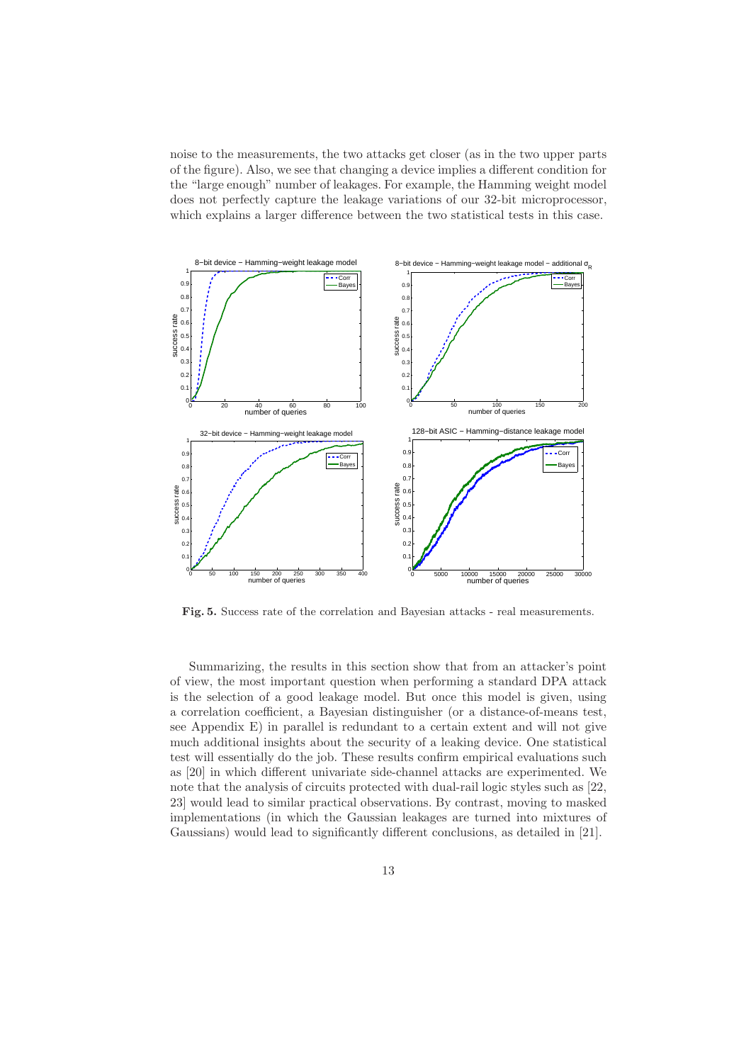noise to the measurements, the two attacks get closer (as in the two upper parts of the figure). Also, we see that changing a device implies a different condition for the "large enough" number of leakages. For example, the Hamming weight model does not perfectly capture the leakage variations of our 32-bit microprocessor, which explains a larger difference between the two statistical tests in this case.



Fig. 5. Success rate of the correlation and Bayesian attacks - real measurements.

Summarizing, the results in this section show that from an attacker's point of view, the most important question when performing a standard DPA attack is the selection of a good leakage model. But once this model is given, using a correlation coefficient, a Bayesian distinguisher (or a distance-of-means test, see Appendix E) in parallel is redundant to a certain extent and will not give much additional insights about the security of a leaking device. One statistical test will essentially do the job. These results confirm empirical evaluations such as [20] in which different univariate side-channel attacks are experimented. We note that the analysis of circuits protected with dual-rail logic styles such as [22, 23] would lead to similar practical observations. By contrast, moving to masked implementations (in which the Gaussian leakages are turned into mixtures of Gaussians) would lead to significantly different conclusions, as detailed in [21].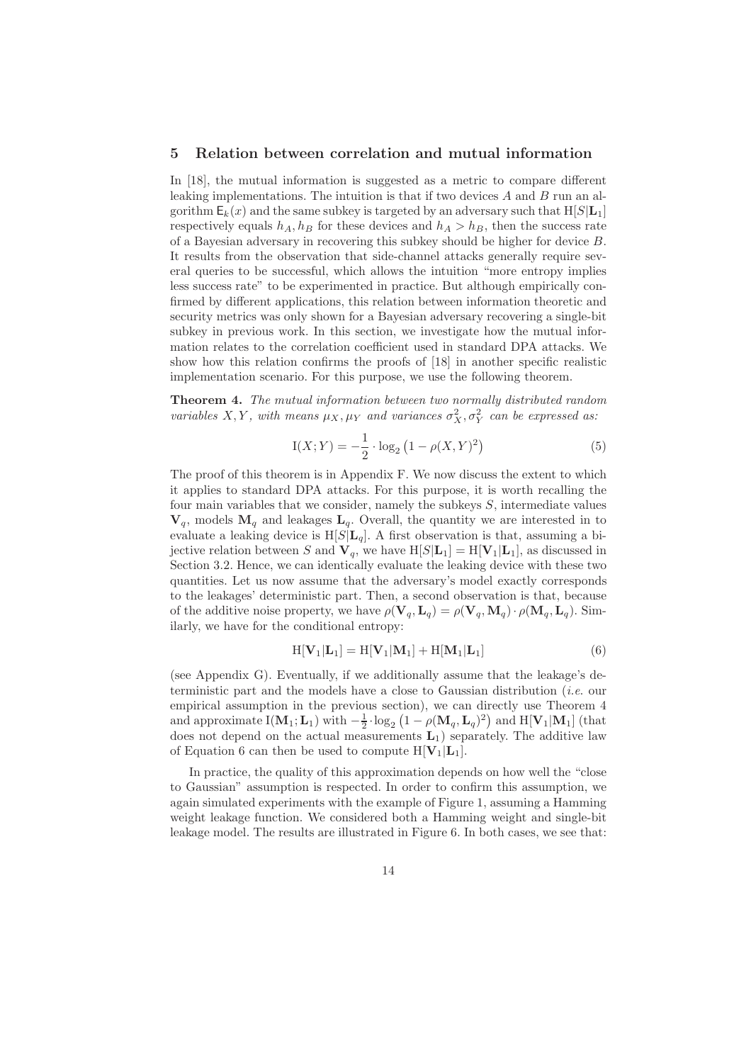### 5 Relation between correlation and mutual information

In [18], the mutual information is suggested as a metric to compare different leaking implementations. The intuition is that if two devices  $A$  and  $B$  run an algorithm  $E_k(x)$  and the same subkey is targeted by an adversary such that  $H[S|L_1]$ respectively equals  $h_A$ ,  $h_B$  for these devices and  $h_A > h_B$ , then the success rate of a Bayesian adversary in recovering this subkey should be higher for device B. It results from the observation that side-channel attacks generally require several queries to be successful, which allows the intuition "more entropy implies less success rate" to be experimented in practice. But although empirically confirmed by different applications, this relation between information theoretic and security metrics was only shown for a Bayesian adversary recovering a single-bit subkey in previous work. In this section, we investigate how the mutual information relates to the correlation coefficient used in standard DPA attacks. We show how this relation confirms the proofs of [18] in another specific realistic implementation scenario. For this purpose, we use the following theorem.

Theorem 4. The mutual information between two normally distributed random variables X, Y, with means  $\mu_X, \mu_Y$  and variances  $\sigma_X^2, \sigma_Y^2$  can be expressed as:

$$
I(X;Y) = -\frac{1}{2} \cdot \log_2 (1 - \rho(X,Y)^2)
$$
 (5)

The proof of this theorem is in Appendix F. We now discuss the extent to which it applies to standard DPA attacks. For this purpose, it is worth recalling the four main variables that we consider, namely the subkeys S, intermediate values  $V_q$ , models  $M_q$  and leakages  $L_q$ . Overall, the quantity we are interested in to evaluate a leaking device is  $H[S|L_q]$ . A first observation is that, assuming a bijective relation between S and  $V_q$ , we have  $H[S|L_1] = H[V_1|L_1]$ , as discussed in Section 3.2. Hence, we can identically evaluate the leaking device with these two quantities. Let us now assume that the adversary's model exactly corresponds to the leakages' deterministic part. Then, a second observation is that, because of the additive noise property, we have  $\rho(\mathbf{V}_q, \mathbf{L}_q) = \rho(\mathbf{V}_q, \mathbf{M}_q) \cdot \rho(\mathbf{M}_q, \mathbf{L}_q)$ . Similarly, we have for the conditional entropy:

$$
H[\mathbf{V}_1|\mathbf{L}_1] = H[\mathbf{V}_1|\mathbf{M}_1] + H[\mathbf{M}_1|\mathbf{L}_1]
$$
\n(6)

(see Appendix G). Eventually, if we additionally assume that the leakage's deterministic part and the models have a close to Gaussian distribution (i.e. our empirical assumption in the previous section), we can directly use Theorem 4 and approximate  $I(M_1; L_1)$  with  $-\frac{1}{2} \cdot \log_2(1 - \rho(M_q, L_q)^2)$  and  $H[V_1|M_1]$  (that does not depend on the actual measurements  $L_1$ ) separately. The additive law of Equation 6 can then be used to compute  $H[V_1|L_1]$ .

In practice, the quality of this approximation depends on how well the "close to Gaussian" assumption is respected. In order to confirm this assumption, we again simulated experiments with the example of Figure 1, assuming a Hamming weight leakage function. We considered both a Hamming weight and single-bit leakage model. The results are illustrated in Figure 6. In both cases, we see that: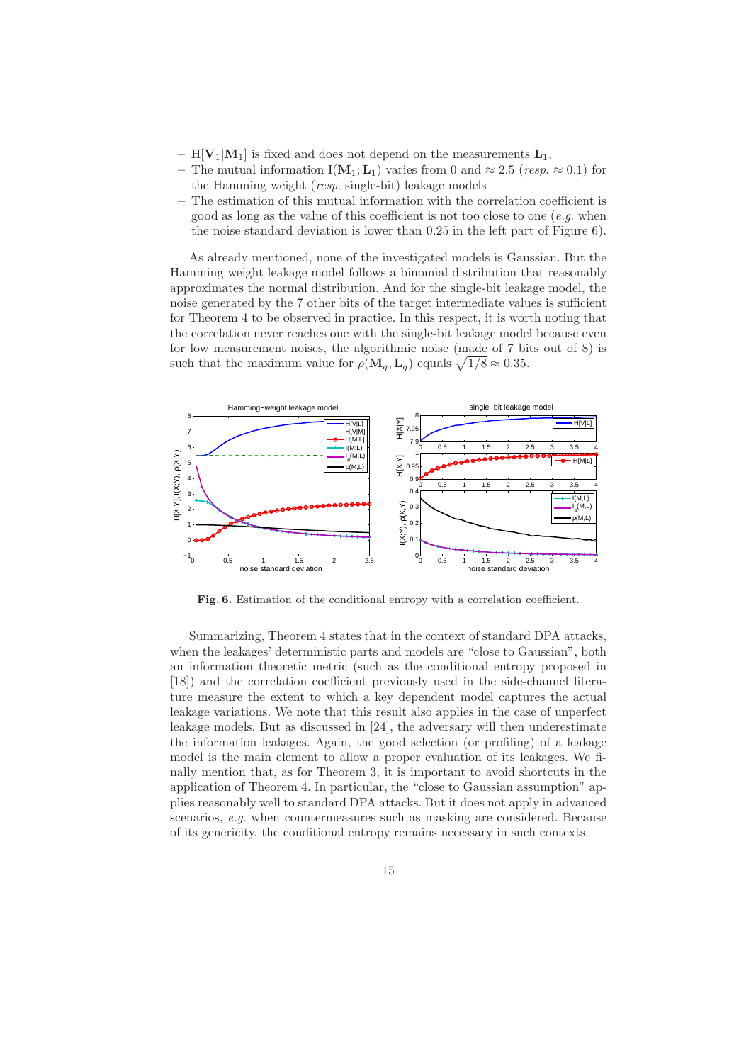- $H[V_1|M_1]$  is fixed and does not depend on the measurements  $L_1$ ,
- The mutual information I( $M_1; L_1$ ) varies from 0 and  $\approx 2.5$  (resp.  $\approx 0.1$ ) for the Hamming weight (resp. single-bit) leakage models
- The estimation of this mutual information with the correlation coefficient is good as long as the value of this coefficient is not too close to one (e.g. when the noise standard deviation is lower than 0.25 in the left part of Figure 6).

As already mentioned, none of the investigated models is Gaussian. But the Hamming weight leakage model follows a binomial distribution that reasonably approximates the normal distribution. And for the single-bit leakage model, the noise generated by the 7 other bits of the target intermediate values is sufficient for Theorem 4 to be observed in practice. In this respect, it is worth noting that the correlation never reaches one with the single-bit leakage model because even for low measurement noises, the algorithmic noise (made of 7 bits out of 8) is such that the maximum value for  $\rho(\mathbf{M}_q, \mathbf{L}_q)$  equals  $\sqrt{1/8} \approx 0.35$ .



Fig. 6. Estimation of the conditional entropy with a correlation coefficient.

Summarizing, Theorem 4 states that in the context of standard DPA attacks, when the leakages' deterministic parts and models are "close to Gaussian", both an information theoretic metric (such as the conditional entropy proposed in [18]) and the correlation coefficient previously used in the side-channel literature measure the extent to which a key dependent model captures the actual leakage variations. We note that this result also applies in the case of unperfect leakage models. But as discussed in [24], the adversary will then underestimate the information leakages. Again, the good selection (or profiling) of a leakage model is the main element to allow a proper evaluation of its leakages. We finally mention that, as for Theorem 3, it is important to avoid shortcuts in the application of Theorem 4. In particular, the "close to Gaussian assumption" applies reasonably well to standard DPA attacks. But it does not apply in advanced scenarios, e.g. when countermeasures such as masking are considered. Because of its genericity, the conditional entropy remains necessary in such contexts.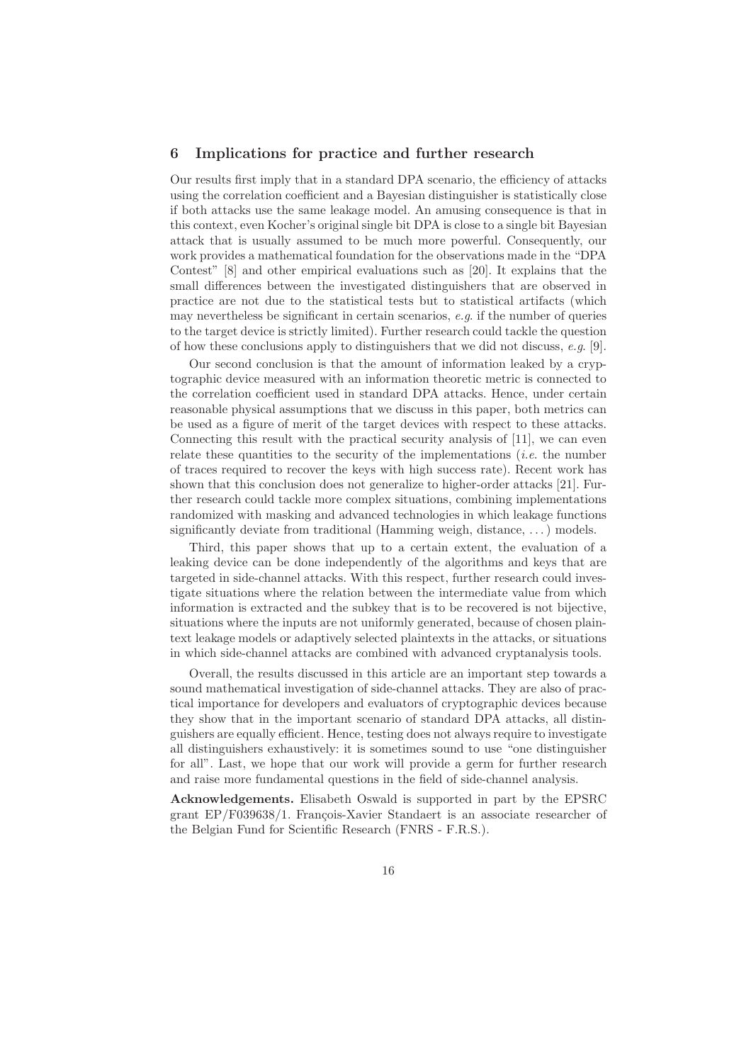## 6 Implications for practice and further research

Our results first imply that in a standard DPA scenario, the efficiency of attacks using the correlation coefficient and a Bayesian distinguisher is statistically close if both attacks use the same leakage model. An amusing consequence is that in this context, even Kocher's original single bit DPA is close to a single bit Bayesian attack that is usually assumed to be much more powerful. Consequently, our work provides a mathematical foundation for the observations made in the "DPA Contest" [8] and other empirical evaluations such as [20]. It explains that the small differences between the investigated distinguishers that are observed in practice are not due to the statistical tests but to statistical artifacts (which may nevertheless be significant in certain scenarios, e.g. if the number of queries to the target device is strictly limited). Further research could tackle the question of how these conclusions apply to distinguishers that we did not discuss, e.g. [9].

Our second conclusion is that the amount of information leaked by a cryptographic device measured with an information theoretic metric is connected to the correlation coefficient used in standard DPA attacks. Hence, under certain reasonable physical assumptions that we discuss in this paper, both metrics can be used as a figure of merit of the target devices with respect to these attacks. Connecting this result with the practical security analysis of [11], we can even relate these quantities to the security of the implementations (*i.e.* the number of traces required to recover the keys with high success rate). Recent work has shown that this conclusion does not generalize to higher-order attacks [21]. Further research could tackle more complex situations, combining implementations randomized with masking and advanced technologies in which leakage functions significantly deviate from traditional (Hamming weigh, distance, . . .) models.

Third, this paper shows that up to a certain extent, the evaluation of a leaking device can be done independently of the algorithms and keys that are targeted in side-channel attacks. With this respect, further research could investigate situations where the relation between the intermediate value from which information is extracted and the subkey that is to be recovered is not bijective, situations where the inputs are not uniformly generated, because of chosen plaintext leakage models or adaptively selected plaintexts in the attacks, or situations in which side-channel attacks are combined with advanced cryptanalysis tools.

Overall, the results discussed in this article are an important step towards a sound mathematical investigation of side-channel attacks. They are also of practical importance for developers and evaluators of cryptographic devices because they show that in the important scenario of standard DPA attacks, all distinguishers are equally efficient. Hence, testing does not always require to investigate all distinguishers exhaustively: it is sometimes sound to use "one distinguisher for all". Last, we hope that our work will provide a germ for further research and raise more fundamental questions in the field of side-channel analysis.

Acknowledgements. Elisabeth Oswald is supported in part by the EPSRC grant EP/F039638/1. François-Xavier Standaert is an associate researcher of the Belgian Fund for Scientific Research (FNRS - F.R.S.).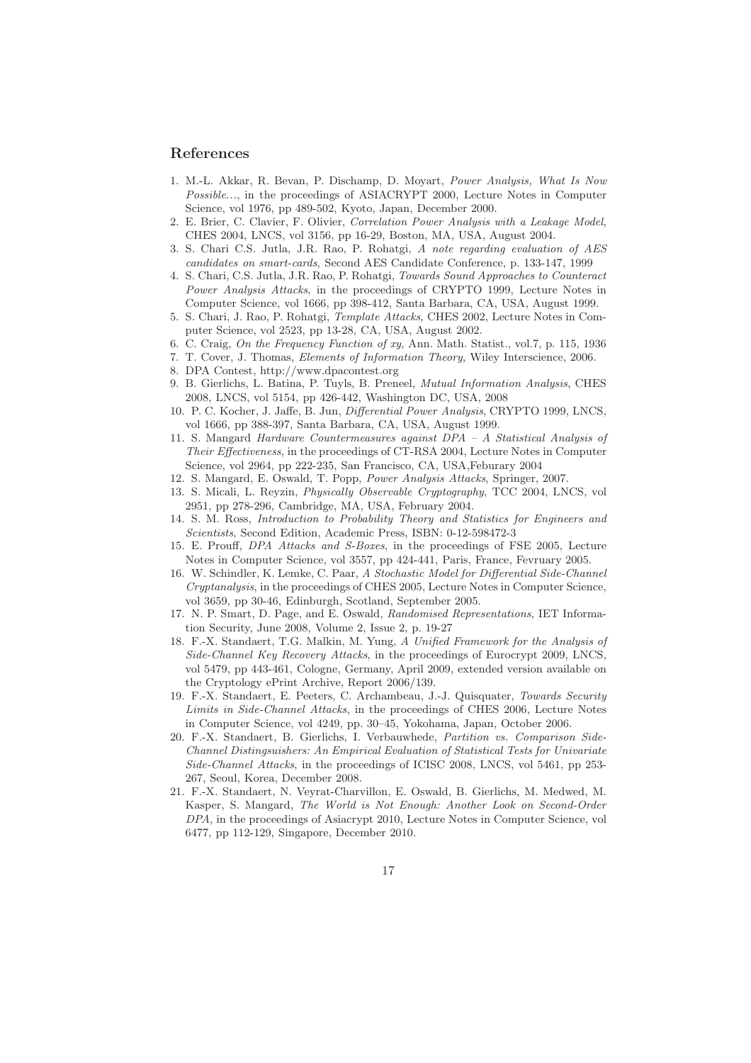## References

- 1. M.-L. Akkar, R. Bevan, P. Dischamp, D. Moyart, Power Analysis, What Is Now Possible..., in the proceedings of ASIACRYPT 2000, Lecture Notes in Computer Science, vol 1976, pp 489-502, Kyoto, Japan, December 2000.
- 2. E. Brier, C. Clavier, F. Olivier, Correlation Power Analysis with a Leakage Model, CHES 2004, LNCS, vol 3156, pp 16-29, Boston, MA, USA, August 2004.
- 3. S. Chari C.S. Jutla, J.R. Rao, P. Rohatgi, A note regarding evaluation of AES candidates on smart-cards, Second AES Candidate Conference, p. 133-147, 1999
- 4. S. Chari, C.S. Jutla, J.R. Rao, P. Rohatgi, Towards Sound Approaches to Counteract Power Analysis Attacks, in the proceedings of CRYPTO 1999, Lecture Notes in Computer Science, vol 1666, pp 398-412, Santa Barbara, CA, USA, August 1999.
- 5. S. Chari, J. Rao, P. Rohatgi, Template Attacks, CHES 2002, Lecture Notes in Computer Science, vol 2523, pp 13-28, CA, USA, August 2002.
- 6. C. Craig, On the Frequency Function of xy, Ann. Math. Statist., vol.7, p. 115, 1936
- 7. T. Cover, J. Thomas, Elements of Information Theory, Wiley Interscience, 2006.
- 8. DPA Contest, http://www.dpacontest.org
- 9. B. Gierlichs, L. Batina, P. Tuyls, B. Preneel, Mutual Information Analysis, CHES 2008, LNCS, vol 5154, pp 426-442, Washington DC, USA, 2008
- 10. P. C. Kocher, J. Jaffe, B. Jun, Differential Power Analysis, CRYPTO 1999, LNCS, vol 1666, pp 388-397, Santa Barbara, CA, USA, August 1999.
- 11. S. Mangard Hardware Countermeasures against DPA A Statistical Analysis of Their Effectiveness, in the proceedings of CT-RSA 2004, Lecture Notes in Computer Science, vol 2964, pp 222-235, San Francisco, CA, USA,Feburary 2004
- 12. S. Mangard, E. Oswald, T. Popp, Power Analysis Attacks, Springer, 2007.
- 13. S. Micali, L. Reyzin, Physically Observable Cryptography, TCC 2004, LNCS, vol 2951, pp 278-296, Cambridge, MA, USA, February 2004.
- 14. S. M. Ross, Introduction to Probability Theory and Statistics for Engineers and Scientists, Second Edition, Academic Press, ISBN: 0-12-598472-3
- 15. E. Prouff, DPA Attacks and S-Boxes, in the proceedings of FSE 2005, Lecture Notes in Computer Science, vol 3557, pp 424-441, Paris, France, Fevruary 2005.
- 16. W. Schindler, K. Lemke, C. Paar, A Stochastic Model for Differential Side-Channel Cryptanalysis, in the proceedings of CHES 2005, Lecture Notes in Computer Science, vol 3659, pp 30-46, Edinburgh, Scotland, September 2005.
- 17. N. P. Smart, D. Page, and E. Oswald, Randomised Representations, IET Information Security, June 2008, Volume 2, Issue 2, p. 19-27
- 18. F.-X. Standaert, T.G. Malkin, M. Yung, A Unified Framework for the Analysis of Side-Channel Key Recovery Attacks, in the proceedings of Eurocrypt 2009, LNCS, vol 5479, pp 443-461, Cologne, Germany, April 2009, extended version available on the Cryptology ePrint Archive, Report 2006/139.
- 19. F.-X. Standaert, E. Peeters, C. Archambeau, J.-J. Quisquater, Towards Security Limits in Side-Channel Attacks, in the proceedings of CHES 2006, Lecture Notes in Computer Science, vol 4249, pp. 30–45, Yokohama, Japan, October 2006.
- 20. F.-X. Standaert, B. Gierlichs, I. Verbauwhede, Partition vs. Comparison Side-Channel Distingsuishers: An Empirical Evaluation of Statistical Tests for Univariate Side-Channel Attacks, in the proceedings of ICISC 2008, LNCS, vol 5461, pp 253- 267, Seoul, Korea, December 2008.
- 21. F.-X. Standaert, N. Veyrat-Charvillon, E. Oswald, B. Gierlichs, M. Medwed, M. Kasper, S. Mangard, The World is Not Enough: Another Look on Second-Order DPA, in the proceedings of Asiacrypt 2010, Lecture Notes in Computer Science, vol 6477, pp 112-129, Singapore, December 2010.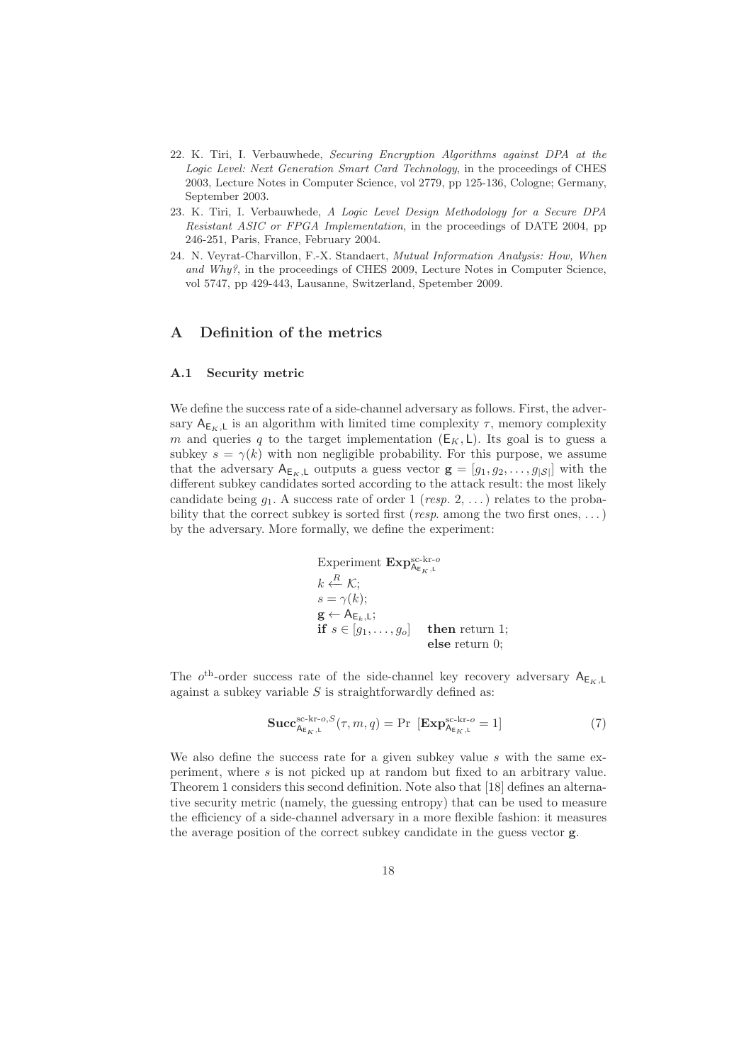- 22. K. Tiri, I. Verbauwhede, Securing Encryption Algorithms against DPA at the Logic Level: Next Generation Smart Card Technology, in the proceedings of CHES 2003, Lecture Notes in Computer Science, vol 2779, pp 125-136, Cologne; Germany, September 2003.
- 23. K. Tiri, I. Verbauwhede, A Logic Level Design Methodology for a Secure DPA Resistant ASIC or FPGA Implementation, in the proceedings of DATE 2004, pp 246-251, Paris, France, February 2004.
- 24. N. Veyrat-Charvillon, F.-X. Standaert, Mutual Information Analysis: How, When and Why?, in the proceedings of CHES 2009, Lecture Notes in Computer Science, vol 5747, pp 429-443, Lausanne, Switzerland, Spetember 2009.

# A Definition of the metrics

#### A.1 Security metric

We define the success rate of a side-channel adversary as follows. First, the adversary  $A_{E_K,L}$  is an algorithm with limited time complexity  $\tau$ , memory complexity m and queries q to the target implementation  $(E_K, L)$ . Its goal is to guess a subkey  $s = \gamma(k)$  with non negligible probability. For this purpose, we assume that the adversary  $A_{E_K,L}$  outputs a guess vector  $g = [g_1, g_2, \ldots, g_{|S|}]$  with the different subkey candidates sorted according to the attack result: the most likely candidate being  $g_1$ . A success rate of order 1 (*resp.* 2, ...) relates to the probability that the correct subkey is sorted first (*resp.* among the two first ones, ...) by the adversary. More formally, we define the experiment:

Experiment 
$$
\mathbf{Exp}_{A_{E_K,L}}^{sc-kr-o}
$$
  
\n $k \stackrel{R}{\leftarrow} \mathcal{K};$   
\n $s = \gamma(k);$   
\n $g \leftarrow A_{E_k,L};$   
\nif  $s \in [g_1, \ldots, g_o]$  then return 1;  
\nelse return 0;

The  $o^{\text{th}}$ -order success rate of the side-channel key recovery adversary  $A_{E_K,L}$ against a subkey variable  $S$  is straightforwardly defined as:

$$
\mathbf{Succ}_{\mathsf{A}_{\mathsf{E}_K,\mathsf{L}}^{\mathsf{SC-kr-o},\mathcal{S}}(\tau,m,q) = \Pr\left[\mathbf{Exp}_{\mathsf{A}_{\mathsf{E}_K,\mathsf{L}}^{\mathsf{SC-kr-o}}=1\right]
$$
(7)

We also define the success rate for a given subkey value  $s$  with the same experiment, where s is not picked up at random but fixed to an arbitrary value. Theorem 1 considers this second definition. Note also that [18] defines an alternative security metric (namely, the guessing entropy) that can be used to measure the efficiency of a side-channel adversary in a more flexible fashion: it measures the average position of the correct subkey candidate in the guess vector g.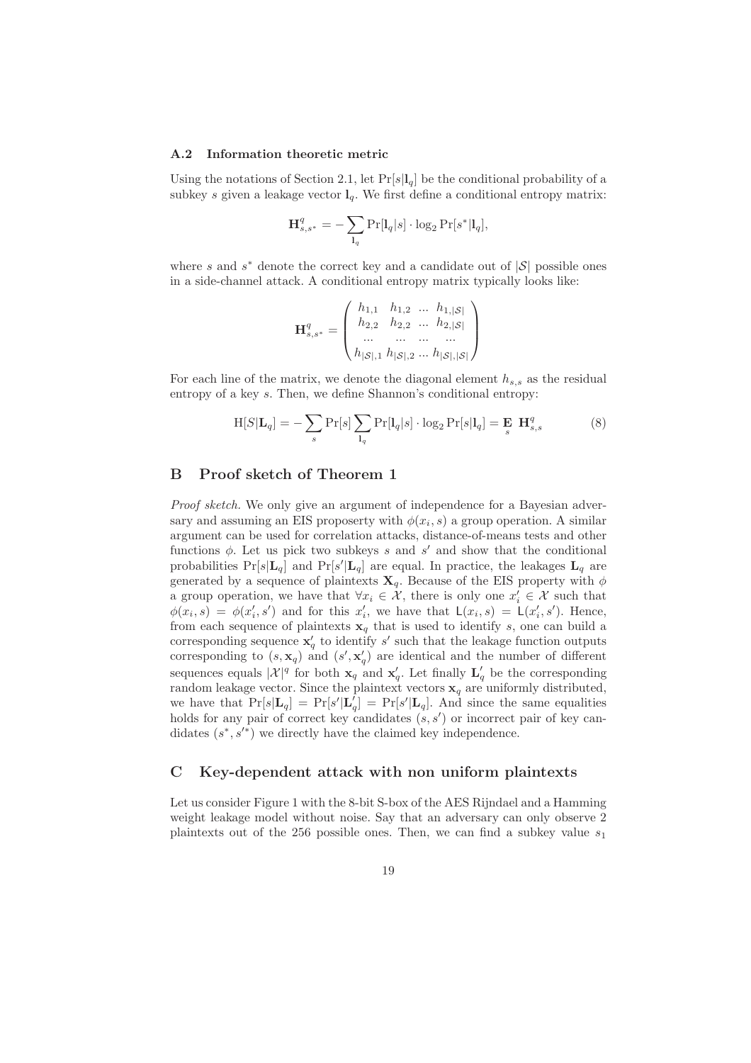#### A.2 Information theoretic metric

Using the notations of Section 2.1, let  $Pr[s|l_q]$  be the conditional probability of a subkey s given a leakage vector  $l_q$ . We first define a conditional entropy matrix:

$$
\mathbf{H}_{s,s^*}^q = -\sum_{\mathbf{l}_q} \Pr[\mathbf{l}_q|s] \cdot \log_2 \Pr[s^*|\mathbf{l}_q],
$$

where s and  $s^*$  denote the correct key and a candidate out of  $|S|$  possible ones in a side-channel attack. A conditional entropy matrix typically looks like:

$$
\mathbf{H}_{s,s^*}^q = \begin{pmatrix} h_{1,1} & h_{1,2} & \dots & h_{1,|\mathcal{S}|} \\ h_{2,2} & h_{2,2} & \dots & h_{2,|\mathcal{S}|} \\ \dots & \dots & \dots & \dots \\ h_{|\mathcal{S}|,1} & h_{|\mathcal{S}|,2} & \dots & h_{|\mathcal{S}|,|\mathcal{S}|} \end{pmatrix}
$$

For each line of the matrix, we denote the diagonal element  $h_{s,s}$  as the residual entropy of a key s. Then, we define Shannon's conditional entropy:

$$
H[S|L_q] = -\sum_{s} Pr[s] \sum_{l_q} Pr[l_q|s] \cdot \log_2 Pr[s|l_q] = E_{s} H_{s,s}^q
$$
 (8)

# B Proof sketch of Theorem 1

Proof sketch. We only give an argument of independence for a Bayesian adversary and assuming an EIS proposerty with  $\phi(x_i, s)$  a group operation. A similar argument can be used for correlation attacks, distance-of-means tests and other functions  $\phi$ . Let us pick two subkeys s and s' and show that the conditional probabilities  $Pr[s|\mathbf{L}_q]$  and  $Pr[s'|\mathbf{L}_q]$  are equal. In practice, the leakages  $\mathbf{L}_q$  are generated by a sequence of plaintexts  $\mathbf{X}_q$ . Because of the EIS property with  $\phi$ a group operation, we have that  $\forall x_i \in \mathcal{X}$ , there is only one  $x'_i \in \mathcal{X}$  such that  $\phi(x_i, s) = \phi(x'_i, s')$  and for this  $x'_i$ , we have that  $\mathsf{L}(x_i, s) = \mathsf{L}(x'_i, s')$ . Hence, from each sequence of plaintexts  $x_q$  that is used to identify s, one can build a corresponding sequence  $\mathbf{x}'_q$  to identify s' such that the leakage function outputs corresponding to  $(s, \mathbf{x}_q)$  and  $(s', \mathbf{x}'_q)$  are identical and the number of different sequences equals  $|\mathcal{X}|^q$  for both  $\mathbf{x}_q$  and  $\mathbf{x}'_q$ . Let finally  $\mathbf{L}'_q$  be the corresponding random leakage vector. Since the plaintext vectors  $x_q$  are uniformly distributed, we have that  $Pr[s|\mathbf{L}_q] = Pr[s'|\mathbf{L}'_q] = Pr[s'|\mathbf{L}_q]$ . And since the same equalities holds for any pair of correct key candidates  $(s, s')$  or incorrect pair of key candidates  $(s^*, s'^*)$  we directly have the claimed key independence.

## C Key-dependent attack with non uniform plaintexts

Let us consider Figure 1 with the 8-bit S-box of the AES Rijndael and a Hamming weight leakage model without noise. Say that an adversary can only observe 2 plaintexts out of the 256 possible ones. Then, we can find a subkey value  $s_1$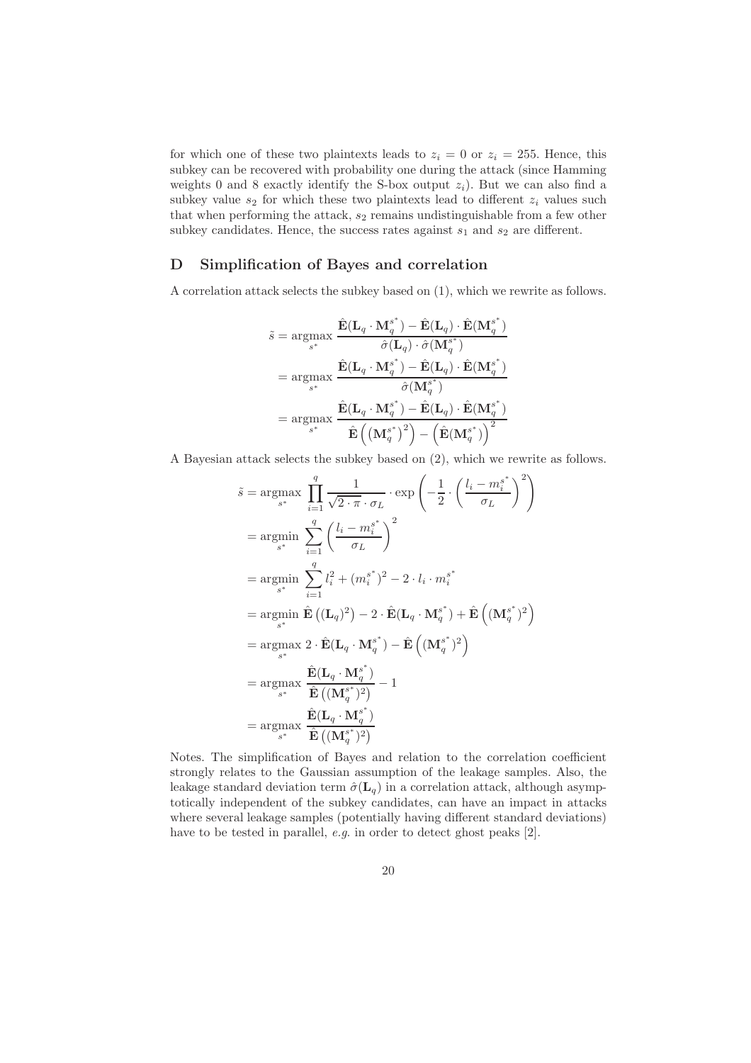for which one of these two plaintexts leads to  $z_i = 0$  or  $z_i = 255$ . Hence, this subkey can be recovered with probability one during the attack (since Hamming weights 0 and 8 exactly identify the S-box output  $z_i$ ). But we can also find a subkey value  $s_2$  for which these two plaintexts lead to different  $z_i$  values such that when performing the attack,  $s_2$  remains undistinguishable from a few other subkey candidates. Hence, the success rates against  $s_1$  and  $s_2$  are different.

## D Simplification of Bayes and correlation

A correlation attack selects the subkey based on (1), which we rewrite as follows.

$$
\begin{aligned} \tilde{s} &= \operatorname*{argmax}_{s^*} \frac{\hat{\mathbf{E}}(\mathbf{L}_q \cdot \mathbf{M}_q^{s^*}) - \hat{\mathbf{E}}(\mathbf{L}_q) \cdot \hat{\mathbf{E}}(\mathbf{M}_q^{s^*})}{\hat{\sigma}(\mathbf{L}_q) \cdot \hat{\sigma}(\mathbf{M}_q^{s^*})} \\ &= \operatorname*{argmax}_{s^*} \frac{\hat{\mathbf{E}}(\mathbf{L}_q \cdot \mathbf{M}_q^{s^*}) - \hat{\mathbf{E}}(\mathbf{L}_q) \cdot \hat{\mathbf{E}}(\mathbf{M}_q^{s^*})}{\hat{\sigma}(\mathbf{M}_q^{s^*})} \\ &= \operatorname*{argmax}_{s^*} \frac{\hat{\mathbf{E}}(\mathbf{L}_q \cdot \mathbf{M}_q^{s^*}) - \hat{\mathbf{E}}(\mathbf{L}_q) \cdot \hat{\mathbf{E}}(\mathbf{M}_q^{s^*})}{\hat{\mathbf{E}}\left(\left(\mathbf{M}_q^{s^*}\right)^2\right) - \left(\hat{\mathbf{E}}(\mathbf{M}_q^{s^*})\right)^2} \end{aligned}
$$

A Bayesian attack selects the subkey based on (2), which we rewrite as follows.

$$
\tilde{s} = \underset{s^*}{\operatorname{argmax}} \prod_{i=1}^q \frac{1}{\sqrt{2 \cdot \pi} \cdot \sigma_L} \cdot \exp\left(-\frac{1}{2} \cdot \left(\frac{l_i - m_i^{s^*}}{\sigma_L}\right)^2\right)
$$
\n
$$
= \underset{s^*}{\operatorname{argmin}} \sum_{i=1}^q \left(\frac{l_i - m_i^{s^*}}{\sigma_L}\right)^2
$$
\n
$$
= \underset{s^*}{\operatorname{argmin}} \sum_{i=1}^q l_i^2 + (m_i^{s^*})^2 - 2 \cdot l_i \cdot m_i^{s^*}
$$
\n
$$
= \underset{s^*}{\operatorname{argmin}} \hat{\mathbf{E}}\left((\mathbf{L}_q)^2\right) - 2 \cdot \hat{\mathbf{E}}(\mathbf{L}_q \cdot \mathbf{M}_q^{s^*}) + \hat{\mathbf{E}}\left((\mathbf{M}_q^{s^*})^2\right)
$$
\n
$$
= \underset{s^*}{\operatorname{argmax}} 2 \cdot \hat{\mathbf{E}}(\mathbf{L}_q \cdot \mathbf{M}_q^{s^*}) - \hat{\mathbf{E}}\left((\mathbf{M}_q^{s^*})^2\right)
$$
\n
$$
= \underset{s^*}{\operatorname{argmax}} \frac{\hat{\mathbf{E}}(\mathbf{L}_q \cdot \mathbf{M}_q^{s^*})}{\hat{\mathbf{E}}\left((\mathbf{M}_q^{s^*})^2\right)} - 1
$$
\n
$$
= \underset{s^*}{\operatorname{argmax}} \frac{\hat{\mathbf{E}}(\mathbf{L}_q \cdot \mathbf{M}_q^{s^*})}{\hat{\mathbf{E}}\left((\mathbf{M}_q^{s^*})^2\right)}
$$

Notes. The simplification of Bayes and relation to the correlation coefficient strongly relates to the Gaussian assumption of the leakage samples. Also, the leakage standard deviation term  $\hat{\sigma}(\mathbf{L}_q)$  in a correlation attack, although asymptotically independent of the subkey candidates, can have an impact in attacks where several leakage samples (potentially having different standard deviations) have to be tested in parallel, e.g. in order to detect ghost peaks [2].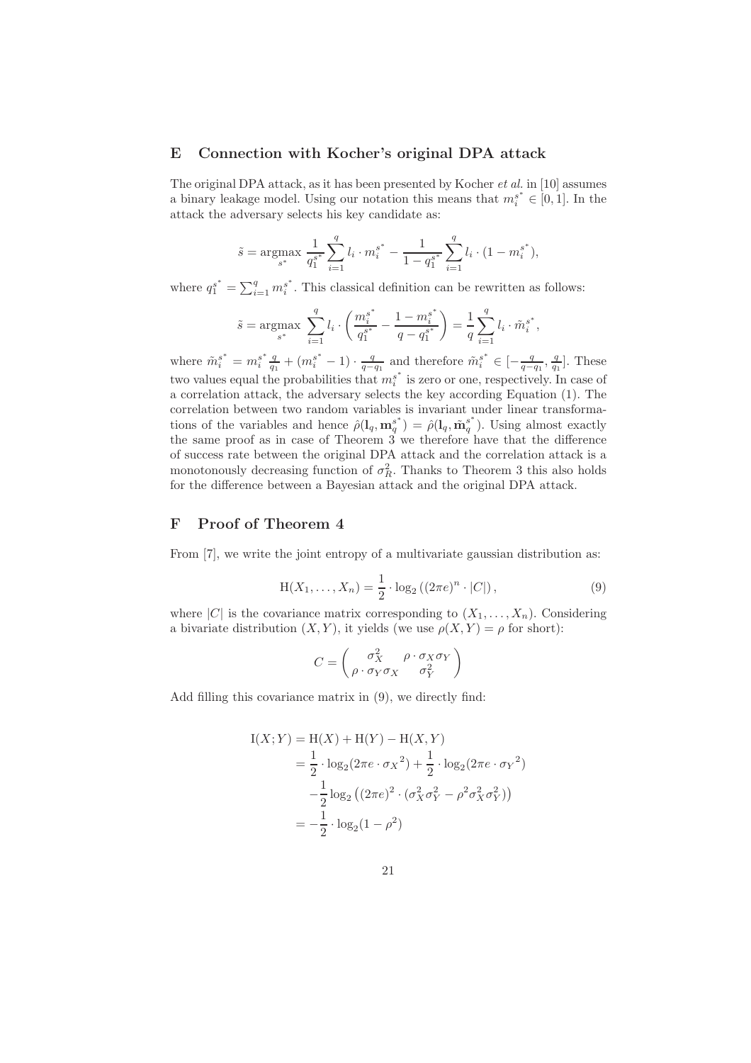## E Connection with Kocher's original DPA attack

The original DPA attack, as it has been presented by Kocher et al. in [10] assumes a binary leakage model. Using our notation this means that  $m_i^{s^*} \in [0,1]$ . In the attack the adversary selects his key candidate as:

$$
\tilde{s} = \underset{s^*}{\text{argmax}} \frac{1}{q_1^{s^*}} \sum_{i=1}^q l_i \cdot m_i^{s^*} - \frac{1}{1 - q_1^{s^*}} \sum_{i=1}^q l_i \cdot (1 - m_i^{s^*}),
$$

where  $q_1^{s^*} = \sum_{i=1}^q m_i^{s^*}$  $i<sup>s</sup>$ . This classical definition can be rewritten as follows:

$$
\tilde{s} = \underset{s^*}{\text{argmax}} \ \sum_{i=1}^q l_i \cdot \left( \frac{{m_i^s}^*}{q_1^{s^*}} - \frac{1 - {m_i^s}^*}{q - q_1^{s^*}} \right) = \frac{1}{q} \sum_{i=1}^q l_i \cdot \tilde{m}_i^{s^*},
$$

where  $\tilde{m}_i^{s^*} = m_i^{s^*}$  $s^* \frac{q}{q_1} + (m_i^{s^*} - 1) \cdot \frac{q}{q - q_1}$  and therefore  $\tilde{m}_i^{s^*} \in [-\frac{q}{q - q_1}, \frac{q}{q_1}]$ . These two values equal the probabilities that  $m_i^{s^*}$  $i<sup>s</sup>$  is zero or one, respectively. In case of a correlation attack, the adversary selects the key according Equation (1). The correlation between two random variables is invariant under linear transformations of the variables and hence  $\hat{\rho}(\mathbf{l}_q, \mathbf{m}_q^{s^*})$  $\hat{\rho}^{(s^*)}_{q} = \hat{\rho}(\mathbf{l}_q, \tilde{\mathbf{m}}_q^{s^*})$  $_q^s$ ). Using almost exactly the same proof as in case of Theorem 3 we therefore have that the difference of success rate between the original DPA attack and the correlation attack is a monotonously decreasing function of  $\sigma_R^2$ . Thanks to Theorem 3 this also holds for the difference between a Bayesian attack and the original DPA attack.

# F Proof of Theorem 4

From [7], we write the joint entropy of a multivariate gaussian distribution as:

$$
H(X_1, ..., X_n) = \frac{1}{2} \cdot \log_2 ((2\pi e)^n \cdot |C|),
$$
\n(9)

where  $|C|$  is the covariance matrix corresponding to  $(X_1, \ldots, X_n)$ . Considering a bivariate distribution  $(X, Y)$ , it yields (we use  $\rho(X, Y) = \rho$  for short):

$$
C = \begin{pmatrix} \sigma_X^2 & \rho \cdot \sigma_X \sigma_Y \\ \rho \cdot \sigma_Y \sigma_X & \sigma_Y^2 \end{pmatrix}
$$

Add filling this covariance matrix in (9), we directly find:

$$
I(X;Y) = H(X) + H(Y) - H(X,Y)
$$
  
=  $\frac{1}{2} \cdot \log_2(2\pi e \cdot \sigma_X^2) + \frac{1}{2} \cdot \log_2(2\pi e \cdot \sigma_Y^2)$   
 $-\frac{1}{2} \log_2 ((2\pi e)^2 \cdot (\sigma_X^2 \sigma_Y^2 - \rho^2 \sigma_X^2 \sigma_Y^2))$   
=  $-\frac{1}{2} \cdot \log_2(1 - \rho^2)$